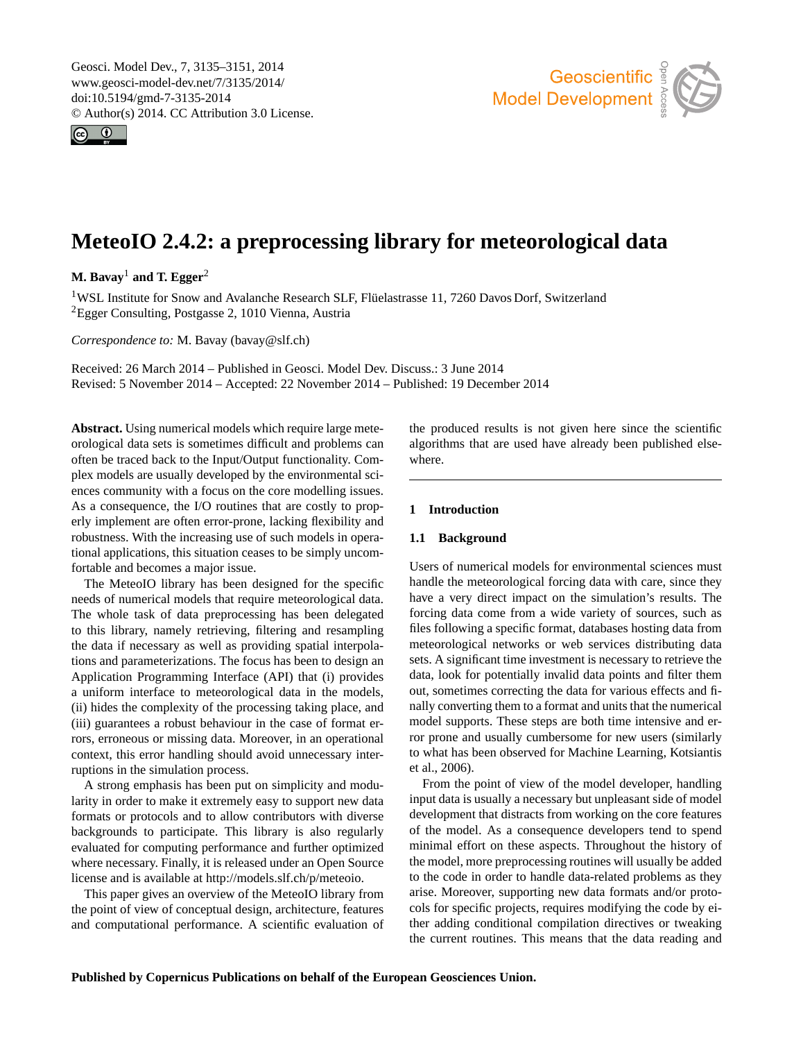<span id="page-0-1"></span>Geosci. Model Dev., 7, 3135–3151, 2014 www.geosci-model-dev.net/7/3135/2014/ doi:10.5194/gmd-7-3135-2014 © Author(s) 2014. CC Attribution 3.0 License.





# **MeteoIO 2.4.2: a preprocessing library for meteorological data**

**M. Bavay**[1](#page-0-0) **and T. Egger**[2](#page-0-0)

<sup>1</sup>WSL Institute for Snow and Avalanche Research SLF, Flüelastrasse 11, 7260 Davos Dorf, Switzerland <sup>2</sup>Egger Consulting, Postgasse 2, 1010 Vienna, Austria

*Correspondence to:* M. Bavay (bavay@slf.ch)

Received: 26 March 2014 – Published in Geosci. Model Dev. Discuss.: 3 June 2014 Revised: 5 November 2014 – Accepted: 22 November 2014 – Published: 19 December 2014

<span id="page-0-0"></span>**Abstract.** Using numerical models which require large meteorological data sets is sometimes difficult and problems can often be traced back to the Input/Output functionality. Complex models are usually developed by the environmental sciences community with a focus on the core modelling issues. As a consequence, the I/O routines that are costly to properly implement are often error-prone, lacking flexibility and robustness. With the increasing use of such models in operational applications, this situation ceases to be simply uncomfortable and becomes a major issue.

The MeteoIO library has been designed for the specific needs of numerical models that require meteorological data. The whole task of data preprocessing has been delegated to this library, namely retrieving, filtering and resampling the data if necessary as well as providing spatial interpolations and parameterizations. The focus has been to design an Application Programming Interface (API) that (i) provides a uniform interface to meteorological data in the models, (ii) hides the complexity of the processing taking place, and (iii) guarantees a robust behaviour in the case of format errors, erroneous or missing data. Moreover, in an operational context, this error handling should avoid unnecessary interruptions in the simulation process.

A strong emphasis has been put on simplicity and modularity in order to make it extremely easy to support new data formats or protocols and to allow contributors with diverse backgrounds to participate. This library is also regularly evaluated for computing performance and further optimized where necessary. Finally, it is released under an Open Source license and is available at [http://models.slf.ch/p/meteoio.](http://models.slf.ch/p/meteoio)

This paper gives an overview of the MeteoIO library from the point of view of conceptual design, architecture, features and computational performance. A scientific evaluation of the produced results is not given here since the scientific algorithms that are used have already been published elsewhere.

# **1 Introduction**

# **1.1 Background**

Users of numerical models for environmental sciences must handle the meteorological forcing data with care, since they have a very direct impact on the simulation's results. The forcing data come from a wide variety of sources, such as files following a specific format, databases hosting data from meteorological networks or web services distributing data sets. A significant time investment is necessary to retrieve the data, look for potentially invalid data points and filter them out, sometimes correcting the data for various effects and finally converting them to a format and units that the numerical model supports. These steps are both time intensive and error prone and usually cumbersome for new users (similarly to what has been observed for Machine Learning, [Kotsiantis](#page-16-0) [et al.,](#page-16-0) [2006\)](#page-16-0).

From the point of view of the model developer, handling input data is usually a necessary but unpleasant side of model development that distracts from working on the core features of the model. As a consequence developers tend to spend minimal effort on these aspects. Throughout the history of the model, more preprocessing routines will usually be added to the code in order to handle data-related problems as they arise. Moreover, supporting new data formats and/or protocols for specific projects, requires modifying the code by either adding conditional compilation directives or tweaking the current routines. This means that the data reading and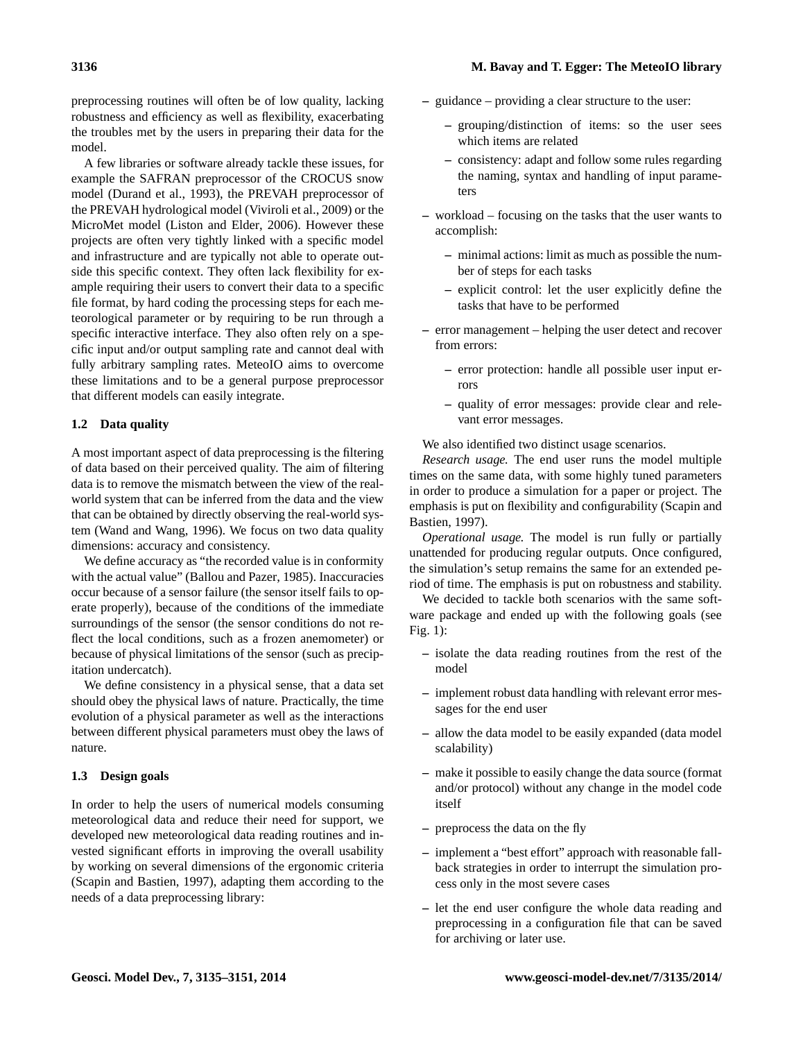preprocessing routines will often be of low quality, lacking robustness and efficiency as well as flexibility, exacerbating the troubles met by the users in preparing their data for the model.

A few libraries or software already tackle these issues, for example the SAFRAN preprocessor of the CROCUS snow model [\(Durand et al.,](#page-15-0) [1993\)](#page-15-0), the PREVAH preprocessor of the PREVAH hydrological model [\(Viviroli et al.,](#page-16-1) [2009\)](#page-16-1) or the MicroMet model [\(Liston and Elder,](#page-16-2) [2006\)](#page-16-2). However these projects are often very tightly linked with a specific model and infrastructure and are typically not able to operate outside this specific context. They often lack flexibility for example requiring their users to convert their data to a specific file format, by hard coding the processing steps for each meteorological parameter or by requiring to be run through a specific interactive interface. They also often rely on a specific input and/or output sampling rate and cannot deal with fully arbitrary sampling rates. MeteoIO aims to overcome these limitations and to be a general purpose preprocessor that different models can easily integrate.

# **1.2 Data quality**

A most important aspect of data preprocessing is the filtering of data based on their perceived quality. The aim of filtering data is to remove the mismatch between the view of the realworld system that can be inferred from the data and the view that can be obtained by directly observing the real-world system [\(Wand and Wang,](#page-16-3) [1996\)](#page-16-3). We focus on two data quality dimensions: accuracy and consistency.

We define accuracy as "the recorded value is in conformity with the actual value" [\(Ballou and Pazer,](#page-15-1) [1985\)](#page-15-1). Inaccuracies occur because of a sensor failure (the sensor itself fails to operate properly), because of the conditions of the immediate surroundings of the sensor (the sensor conditions do not reflect the local conditions, such as a frozen anemometer) or because of physical limitations of the sensor (such as precipitation undercatch).

We define consistency in a physical sense, that a data set should obey the physical laws of nature. Practically, the time evolution of a physical parameter as well as the interactions between different physical parameters must obey the laws of nature.

# <span id="page-1-0"></span>**1.3 Design goals**

In order to help the users of numerical models consuming meteorological data and reduce their need for support, we developed new meteorological data reading routines and invested significant efforts in improving the overall usability by working on several dimensions of the ergonomic criteria [\(Scapin and Bastien,](#page-16-4) [1997\)](#page-16-4), adapting them according to the needs of a data preprocessing library:

- **–** guidance providing a clear structure to the user:
	- **–** grouping/distinction of items: so the user sees which items are related
	- **–** consistency: adapt and follow some rules regarding the naming, syntax and handling of input parameters
- **–** workload focusing on the tasks that the user wants to accomplish:
	- **–** minimal actions: limit as much as possible the number of steps for each tasks
	- **–** explicit control: let the user explicitly define the tasks that have to be performed
- **–** error management helping the user detect and recover from errors:
	- **–** error protection: handle all possible user input errors
	- **–** quality of error messages: provide clear and relevant error messages.

We also identified two distinct usage scenarios.

*Research usage.* The end user runs the model multiple times on the same data, with some highly tuned parameters in order to produce a simulation for a paper or project. The emphasis is put on flexibility and configurability [\(Scapin and](#page-16-4) [Bastien,](#page-16-4) [1997\)](#page-16-4).

*Operational usage.* The model is run fully or partially unattended for producing regular outputs. Once configured, the simulation's setup remains the same for an extended period of time. The emphasis is put on robustness and stability.

We decided to tackle both scenarios with the same software package and ended up with the following goals (see Fig. [1\)](#page-2-0):

- **–** isolate the data reading routines from the rest of the model
- **–** implement robust data handling with relevant error messages for the end user
- **–** allow the data model to be easily expanded (data model scalability)
- **–** make it possible to easily change the data source (format and/or protocol) without any change in the model code itself
- **–** preprocess the data on the fly
- **–** implement a "best effort" approach with reasonable fallback strategies in order to interrupt the simulation process only in the most severe cases
- **–** let the end user configure the whole data reading and preprocessing in a configuration file that can be saved for archiving or later use.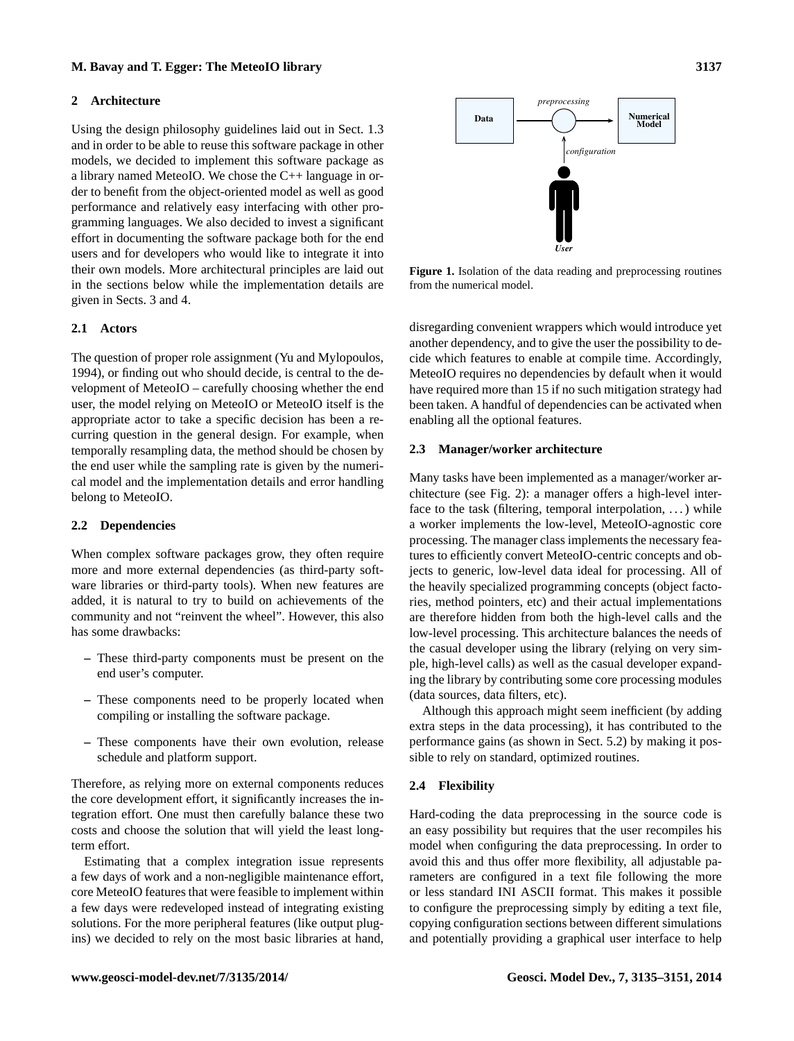## **2 Architecture**

Using the design philosophy guidelines laid out in Sect. [1.3](#page-1-0) and in order to be able to reuse this software package in other models, we decided to implement this software package as a library named MeteoIO. We chose the C++ language in order to benefit from the object-oriented model as well as good performance and relatively easy interfacing with other programming languages. We also decided to invest a significant effort in documenting the software package both for the end users and for developers who would like to integrate it into their own models. More architectural principles are laid out in the sections below while the implementation details are given in Sects. [3](#page-4-0) and [4.](#page-5-0)

# **2.1 Actors**

The question of proper role assignment [\(Yu and Mylopoulos,](#page-16-5) [1994\)](#page-16-5), or finding out who should decide, is central to the development of MeteoIO – carefully choosing whether the end user, the model relying on MeteoIO or MeteoIO itself is the appropriate actor to take a specific decision has been a recurring question in the general design. For example, when temporally resampling data, the method should be chosen by the end user while the sampling rate is given by the numerical model and the implementation details and error handling belong to MeteoIO.

#### **2.2 Dependencies**

When complex software packages grow, they often require more and more external dependencies (as third-party software libraries or third-party tools). When new features are added, it is natural to try to build on achievements of the community and not "reinvent the wheel". However, this also has some drawbacks:

- **–** These third-party components must be present on the end user's computer.
- **–** These components need to be properly located when compiling or installing the software package.
- **–** These components have their own evolution, release schedule and platform support.

Therefore, as relying more on external components reduces the core development effort, it significantly increases the integration effort. One must then carefully balance these two costs and choose the solution that will yield the least longterm effort.

Estimating that a complex integration issue represents a few days of work and a non-negligible maintenance effort, core MeteoIO features that were feasible to implement within a few days were redeveloped instead of integrating existing solutions. For the more peripheral features (like output plugins) we decided to rely on the most basic libraries at hand,

<span id="page-2-0"></span>

Figure 1. Isolation of the data reading and preprocessing routines from the numerical model.

disregarding convenient wrappers which would introduce yet another dependency, and to give the user the possibility to decide which features to enable at compile time. Accordingly, MeteoIO requires no dependencies by default when it would have required more than 15 if no such mitigation strategy had been taken. A handful of dependencies can be activated when enabling all the optional features.

# <span id="page-2-1"></span>**2.3 Manager/worker architecture**

Many tasks have been implemented as a manager/worker architecture (see Fig. [2\)](#page-3-0): a manager offers a high-level interface to the task (filtering, temporal interpolation, . . . ) while a worker implements the low-level, MeteoIO-agnostic core processing. The manager class implements the necessary features to efficiently convert MeteoIO-centric concepts and objects to generic, low-level data ideal for processing. All of the heavily specialized programming concepts (object factories, method pointers, etc) and their actual implementations are therefore hidden from both the high-level calls and the low-level processing. This architecture balances the needs of the casual developer using the library (relying on very simple, high-level calls) as well as the casual developer expanding the library by contributing some core processing modules (data sources, data filters, etc).

Although this approach might seem inefficient (by adding extra steps in the data processing), it has contributed to the performance gains (as shown in Sect. [5.2\)](#page-12-0) by making it possible to rely on standard, optimized routines.

# **2.4 Flexibility**

Hard-coding the data preprocessing in the source code is an easy possibility but requires that the user recompiles his model when configuring the data preprocessing. In order to avoid this and thus offer more flexibility, all adjustable parameters are configured in a text file following the more or less standard INI ASCII format. This makes it possible to configure the preprocessing simply by editing a text file, copying configuration sections between different simulations and potentially providing a graphical user interface to help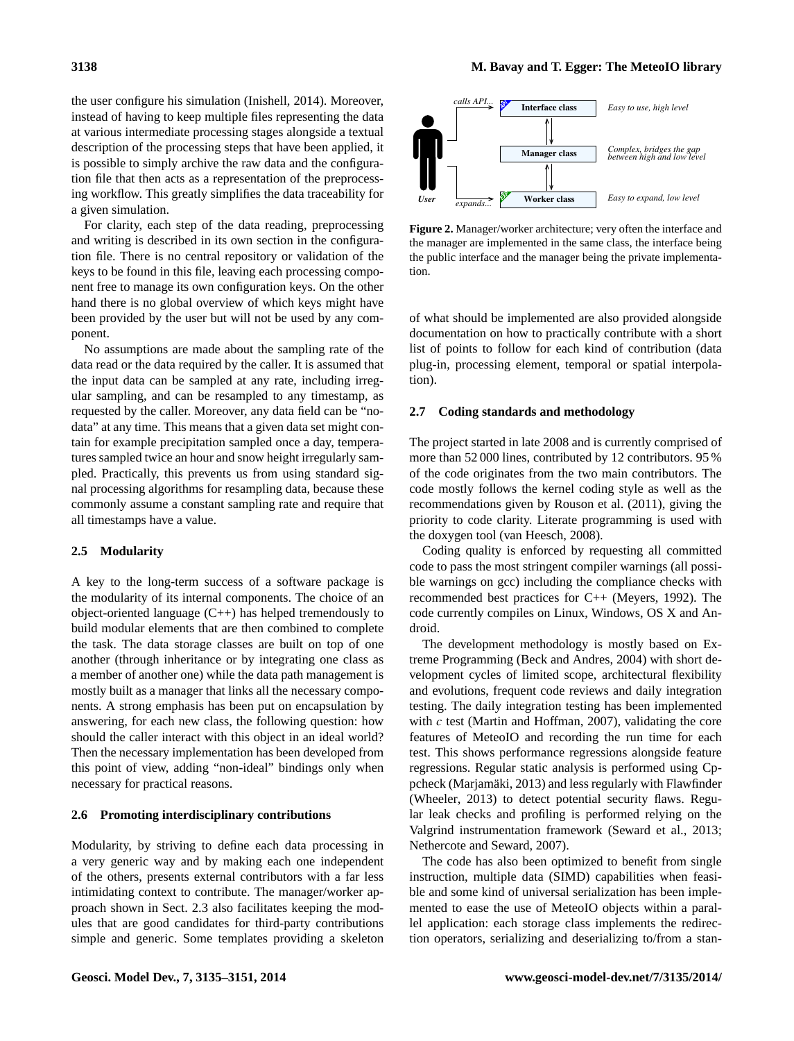the user configure his simulation [\(Inishell,](#page-15-2) [2014\)](#page-15-2). Moreover, instead of having to keep multiple files representing the data at various intermediate processing stages alongside a textual description of the processing steps that have been applied, it is possible to simply archive the raw data and the configuration file that then acts as a representation of the preprocessing workflow. This greatly simplifies the data traceability for a given simulation.

For clarity, each step of the data reading, preprocessing and writing is described in its own section in the configuration file. There is no central repository or validation of the keys to be found in this file, leaving each processing component free to manage its own configuration keys. On the other hand there is no global overview of which keys might have been provided by the user but will not be used by any component.

No assumptions are made about the sampling rate of the data read or the data required by the caller. It is assumed that the input data can be sampled at any rate, including irregular sampling, and can be resampled to any timestamp, as requested by the caller. Moreover, any data field can be "nodata" at any time. This means that a given data set might contain for example precipitation sampled once a day, temperatures sampled twice an hour and snow height irregularly sampled. Practically, this prevents us from using standard signal processing algorithms for resampling data, because these commonly assume a constant sampling rate and require that all timestamps have a value.

# **2.5 Modularity**

A key to the long-term success of a software package is the modularity of its internal components. The choice of an object-oriented language (C++) has helped tremendously to build modular elements that are then combined to complete the task. The data storage classes are built on top of one another (through inheritance or by integrating one class as a member of another one) while the data path management is mostly built as a manager that links all the necessary components. A strong emphasis has been put on encapsulation by answering, for each new class, the following question: how should the caller interact with this object in an ideal world? Then the necessary implementation has been developed from this point of view, adding "non-ideal" bindings only when necessary for practical reasons.

#### **2.6 Promoting interdisciplinary contributions**

Modularity, by striving to define each data processing in a very generic way and by making each one independent of the others, presents external contributors with a far less intimidating context to contribute. The manager/worker approach shown in Sect. [2.3](#page-2-1) also facilitates keeping the modules that are good candidates for third-party contributions simple and generic. Some templates providing a skeleton

<span id="page-3-0"></span>

**Figure 2.** Manager/worker architecture; very often the interface and the manager are implemented in the same class, the interface being the public interface and the manager being the private implementation.

of what should be implemented are also provided alongside documentation on how to practically contribute with a short list of points to follow for each kind of contribution (data plug-in, processing element, temporal or spatial interpolation).

# <span id="page-3-1"></span>**2.7 Coding standards and methodology**

The project started in late 2008 and is currently comprised of more than 52 000 lines, contributed by 12 contributors. 95 % of the code originates from the two main contributors. The code mostly follows the kernel coding style as well as the recommendations given by [Rouson et al.](#page-16-6) [\(2011\)](#page-16-6), giving the priority to code clarity. Literate programming is used with the doxygen tool [\(van Heesch,](#page-16-7) [2008\)](#page-16-7).

Coding quality is enforced by requesting all committed code to pass the most stringent compiler warnings (all possible warnings on gcc) including the compliance checks with recommended best practices for C++ [\(Meyers,](#page-16-8) [1992\)](#page-16-8). The code currently compiles on Linux, Windows, OS X and Android.

The development methodology is mostly based on Extreme Programming [\(Beck and Andres,](#page-15-3) [2004\)](#page-15-3) with short development cycles of limited scope, architectural flexibility and evolutions, frequent code reviews and daily integration testing. The daily integration testing has been implemented with  $c$  test [\(Martin and Hoffman,](#page-16-9) [2007\)](#page-16-9), validating the core features of MeteoIO and recording the run time for each test. This shows performance regressions alongside feature regressions. Regular static analysis is performed using Cppcheck [\(Marjamäki,](#page-16-10) [2013\)](#page-16-10) and less regularly with Flawfinder [\(Wheeler,](#page-16-11) [2013\)](#page-16-11) to detect potential security flaws. Regular leak checks and profiling is performed relying on the Valgrind instrumentation framework [\(Seward et al.,](#page-16-12) [2013;](#page-16-12) [Nethercote and Seward,](#page-16-13) [2007\)](#page-16-13).

The code has also been optimized to benefit from single instruction, multiple data (SIMD) capabilities when feasible and some kind of universal serialization has been implemented to ease the use of MeteoIO objects within a parallel application: each storage class implements the redirection operators, serializing and deserializing to/from a stan-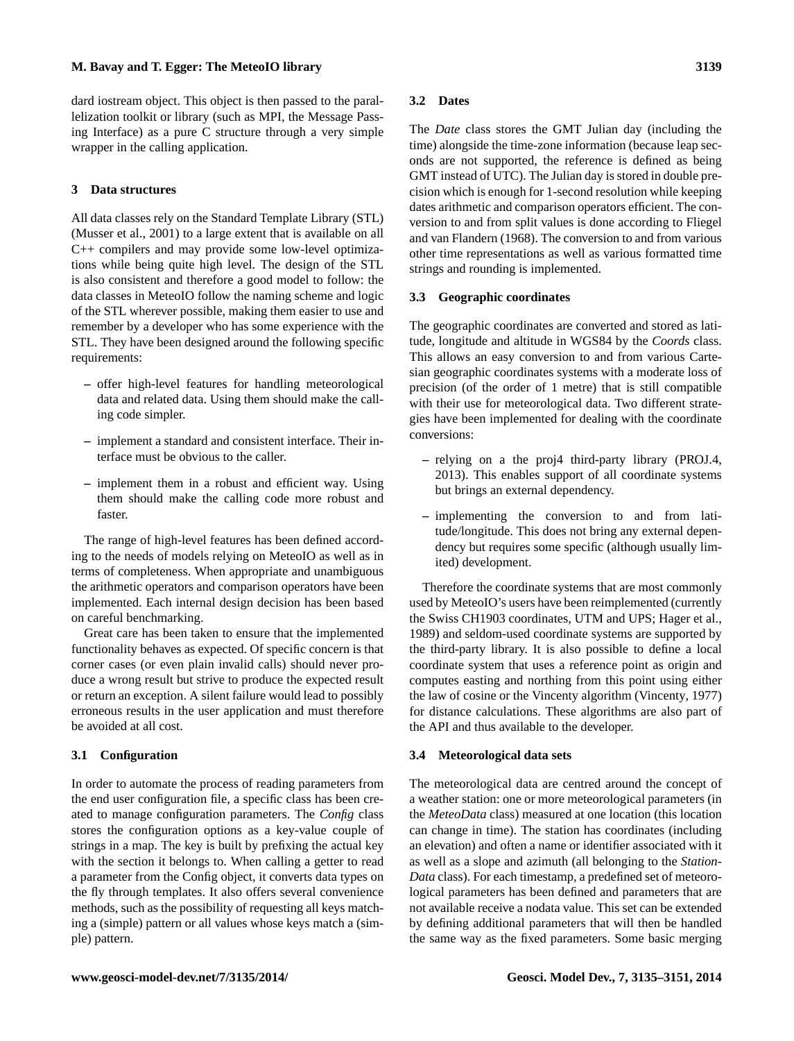# **M. Bavay and T. Egger: The MeteoIO library 3139**

dard iostream object. This object is then passed to the parallelization toolkit or library (such as MPI, the Message Passing Interface) as a pure C structure through a very simple wrapper in the calling application.

# <span id="page-4-0"></span>**3 Data structures**

All data classes rely on the Standard Template Library (STL) [\(Musser et al.,](#page-16-14) [2001\)](#page-16-14) to a large extent that is available on all C++ compilers and may provide some low-level optimizations while being quite high level. The design of the STL is also consistent and therefore a good model to follow: the data classes in MeteoIO follow the naming scheme and logic of the STL wherever possible, making them easier to use and remember by a developer who has some experience with the STL. They have been designed around the following specific requirements:

- **–** offer high-level features for handling meteorological data and related data. Using them should make the calling code simpler.
- **–** implement a standard and consistent interface. Their interface must be obvious to the caller.
- **–** implement them in a robust and efficient way. Using them should make the calling code more robust and faster.

The range of high-level features has been defined according to the needs of models relying on MeteoIO as well as in terms of completeness. When appropriate and unambiguous the arithmetic operators and comparison operators have been implemented. Each internal design decision has been based on careful benchmarking.

Great care has been taken to ensure that the implemented functionality behaves as expected. Of specific concern is that corner cases (or even plain invalid calls) should never produce a wrong result but strive to produce the expected result or return an exception. A silent failure would lead to possibly erroneous results in the user application and must therefore be avoided at all cost.

# **3.1 Configuration**

In order to automate the process of reading parameters from the end user configuration file, a specific class has been created to manage configuration parameters. The *Config* class stores the configuration options as a key-value couple of strings in a map. The key is built by prefixing the actual key with the section it belongs to. When calling a getter to read a parameter from the Config object, it converts data types on the fly through templates. It also offers several convenience methods, such as the possibility of requesting all keys matching a (simple) pattern or all values whose keys match a (simple) pattern.

#### **3.2 Dates**

The *Date* class stores the GMT Julian day (including the time) alongside the time-zone information (because leap seconds are not supported, the reference is defined as being GMT instead of UTC). The Julian day is stored in double precision which is enough for 1-second resolution while keeping dates arithmetic and comparison operators efficient. The conversion to and from split values is done according to [Fliegel](#page-15-4) [and van Flandern](#page-15-4) [\(1968\)](#page-15-4). The conversion to and from various other time representations as well as various formatted time strings and rounding is implemented.

#### **3.3 Geographic coordinates**

The geographic coordinates are converted and stored as latitude, longitude and altitude in WGS84 by the *Coords* class. This allows an easy conversion to and from various Cartesian geographic coordinates systems with a moderate loss of precision (of the order of 1 metre) that is still compatible with their use for meteorological data. Two different strategies have been implemented for dealing with the coordinate conversions:

- **–** relying on a the proj4 third-party library [\(PROJ.4,](#page-16-15) [2013\)](#page-16-15). This enables support of all coordinate systems but brings an external dependency.
- **–** implementing the conversion to and from latitude/longitude. This does not bring any external dependency but requires some specific (although usually limited) development.

Therefore the coordinate systems that are most commonly used by MeteoIO's users have been reimplemented (currently the Swiss CH1903 coordinates, UTM and UPS; [Hager et al.,](#page-15-5) [1989\)](#page-15-5) and seldom-used coordinate systems are supported by the third-party library. It is also possible to define a local coordinate system that uses a reference point as origin and computes easting and northing from this point using either the law of cosine or the Vincenty algorithm [\(Vincenty,](#page-16-16) [1977\)](#page-16-16) for distance calculations. These algorithms are also part of the API and thus available to the developer.

# **3.4 Meteorological data sets**

The meteorological data are centred around the concept of a weather station: one or more meteorological parameters (in the *MeteoData* class) measured at one location (this location can change in time). The station has coordinates (including an elevation) and often a name or identifier associated with it as well as a slope and azimuth (all belonging to the *Station-Data* class). For each timestamp, a predefined set of meteorological parameters has been defined and parameters that are not available receive a nodata value. This set can be extended by defining additional parameters that will then be handled the same way as the fixed parameters. Some basic merging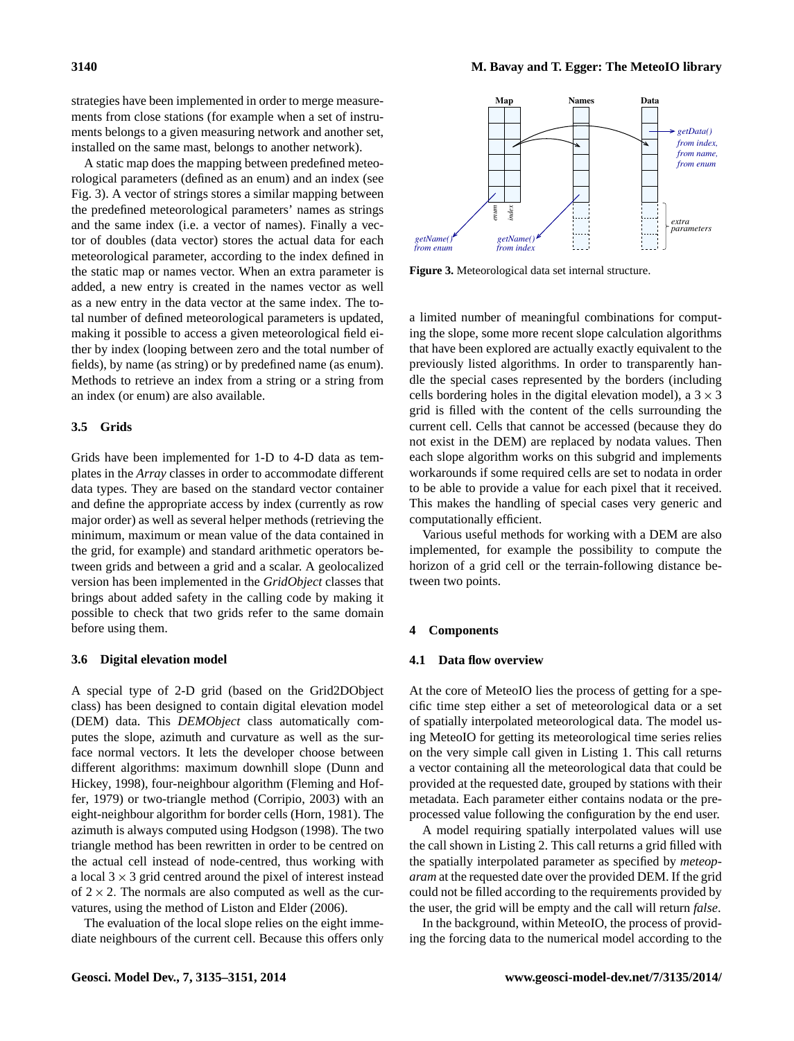strategies have been implemented in order to merge measurements from close stations (for example when a set of instruments belongs to a given measuring network and another set, installed on the same mast, belongs to another network).

A static map does the mapping between predefined meteorological parameters (defined as an enum) and an index (see Fig. [3\)](#page-5-1). A vector of strings stores a similar mapping between the predefined meteorological parameters' names as strings and the same index (i.e. a vector of names). Finally a vector of doubles (data vector) stores the actual data for each meteorological parameter, according to the index defined in the static map or names vector. When an extra parameter is added, a new entry is created in the names vector as well as a new entry in the data vector at the same index. The total number of defined meteorological parameters is updated, making it possible to access a given meteorological field either by index (looping between zero and the total number of fields), by name (as string) or by predefined name (as enum). Methods to retrieve an index from a string or a string from an index (or enum) are also available.

# **3.5 Grids**

Grids have been implemented for 1-D to 4-D data as templates in the *Array* classes in order to accommodate different data types. They are based on the standard vector container and define the appropriate access by index (currently as row major order) as well as several helper methods (retrieving the minimum, maximum or mean value of the data contained in the grid, for example) and standard arithmetic operators between grids and between a grid and a scalar. A geolocalized version has been implemented in the *GridObject* classes that brings about added safety in the calling code by making it possible to check that two grids refer to the same domain before using them.

## **3.6 Digital elevation model**

A special type of 2-D grid (based on the Grid2DObject class) has been designed to contain digital elevation model (DEM) data. This *DEMObject* class automatically computes the slope, azimuth and curvature as well as the surface normal vectors. It lets the developer choose between different algorithms: maximum downhill slope [\(Dunn and](#page-15-6) [Hickey,](#page-15-6) [1998\)](#page-15-6), four-neighbour algorithm [\(Fleming and Hof](#page-15-7)[fer,](#page-15-7) [1979\)](#page-15-7) or two-triangle method [\(Corripio,](#page-15-8) [2003\)](#page-15-8) with an eight-neighbour algorithm for border cells [\(Horn,](#page-15-9) [1981\)](#page-15-9). The azimuth is always computed using [Hodgson](#page-15-10) [\(1998\)](#page-15-10). The two triangle method has been rewritten in order to be centred on the actual cell instead of node-centred, thus working with a local  $3 \times 3$  grid centred around the pixel of interest instead of  $2 \times 2$ . The normals are also computed as well as the curvatures, using the method of [Liston and Elder](#page-16-2) [\(2006\)](#page-16-2). and dots and interest to a context can are consistent in the current cell. The current cell and the current cell and the current cell and the current cell and the current cell and the current cell and the current cell and

The evaluation of the local slope relies on the eight imme-

<span id="page-5-1"></span>

**Figure 3.** Meteorological data set internal structure.

a limited number of meaningful combinations for computing the slope, some more recent slope calculation algorithms that have been explored are actually exactly equivalent to the previously listed algorithms. In order to transparently handle the special cases represented by the borders (including cells bordering holes in the digital elevation model), a  $3 \times 3$ grid is filled with the content of the cells surrounding the current cell. Cells that cannot be accessed (because they do not exist in the DEM) are replaced by nodata values. Then each slope algorithm works on this subgrid and implements workarounds if some required cells are set to nodata in order to be able to provide a value for each pixel that it received. This makes the handling of special cases very generic and computationally efficient.

Various useful methods for working with a DEM are also implemented, for example the possibility to compute the horizon of a grid cell or the terrain-following distance between two points.

#### <span id="page-5-0"></span>**4 Components**

#### **4.1 Data flow overview**

At the core of MeteoIO lies the process of getting for a specific time step either a set of meteorological data or a set of spatially interpolated meteorological data. The model using MeteoIO for getting its meteorological time series relies on the very simple call given in Listing [1.](#page-6-0) This call returns a vector containing all the meteorological data that could be provided at the requested date, grouped by stations with their metadata. Each parameter either contains nodata or the preprocessed value following the configuration by the end user.

A model requiring spatially interpolated values will use the call shown in Listing [2.](#page-6-1) This call returns a grid filled with the spatially interpolated parameter as specified by *meteoparam* at the requested date over the provided DEM. If the grid could not be filled according to the requirements provided by the user, the grid will be empty and the call will return *false*.

In the background, within MeteoIO, the process of providing the forcing data to the numerical model according to the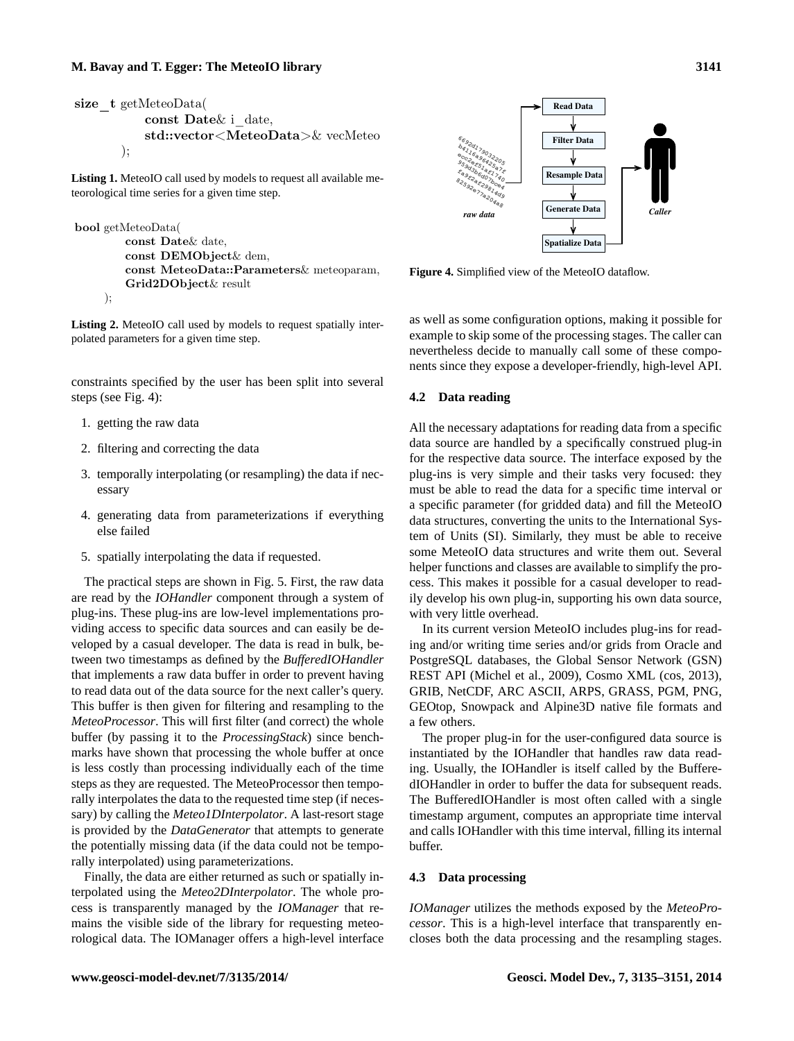## **M. Bavay and T. Egger: The MeteoIO library 3141**

<span id="page-6-0"></span>size\_t getMeteoData( const Date& i\_date, std::vector<MeteoData>& vecMeteo );

**Listing 1.** MeteoIO call used by models to request all available meteorological time series for a given time step.

```
bool getMeteoData(
    const Date& date,
    const DEMObject& dem,
    const MeteoData::Parameters& meteoparam,
    Grid2DObject& result
);
```
**Listing 2.** MeteoIO call used by models to request spatially interpolated parameters for a given time step.

constraints specified by the user has been split into several steps (see Fig. [4\)](#page-6-2):

- 1. getting the raw data
- 2. filtering and correcting the data
- 3. temporally interpolating (or resampling) the data if necessary
- 4. generating data from parameterizations if everything else failed
- 5. spatially interpolating the data if requested.

The practical steps are shown in Fig. [5.](#page-7-0) First, the raw data are read by the *IOHandler* component through a system of plug-ins. These plug-ins are low-level implementations providing access to specific data sources and can easily be developed by a casual developer. The data is read in bulk, between two timestamps as defined by the *BufferedIOHandler* that implements a raw data buffer in order to prevent having to read data out of the data source for the next caller's query. This buffer is then given for filtering and resampling to the *MeteoProcessor*. This will first filter (and correct) the whole buffer (by passing it to the *ProcessingStack*) since benchmarks have shown that processing the whole buffer at once is less costly than processing individually each of the time steps as they are requested. The MeteoProcessor then temporally interpolates the data to the requested time step (if necessary) by calling the *Meteo1DInterpolator*. A last-resort stage is provided by the *DataGenerator* that attempts to generate the potentially missing data (if the data could not be temporally interpolated) using parameterizations.

Finally, the data are either returned as such or spatially interpolated using the *Meteo2DInterpolator*. The whole process is transparently managed by the *IOManager* that remains the visible side of the library for requesting meteorological data. The IOManager offers a high-level interface

<span id="page-6-2"></span>

**Figure 4.** Simplified view of the MeteoIO dataflow.

as well as some configuration options, making it possible for example to skip some of the processing stages. The caller can nevertheless decide to manually call some of these components since they expose a developer-friendly, high-level API.

#### **4.2 Data reading**

All the necessary adaptations for reading data from a specific data source are handled by a specifically construed plug-in for the respective data source. The interface exposed by the plug-ins is very simple and their tasks very focused: they must be able to read the data for a specific time interval or a specific parameter (for gridded data) and fill the MeteoIO data structures, converting the units to the International System of Units (SI). Similarly, they must be able to receive some MeteoIO data structures and write them out. Several helper functions and classes are available to simplify the process. This makes it possible for a casual developer to readily develop his own plug-in, supporting his own data source, with very little overhead.

In its current version MeteoIO includes plug-ins for reading and/or writing time series and/or grids from Oracle and PostgreSQL databases, the Global Sensor Network (GSN) REST API [\(Michel et al.,](#page-16-17) [2009\)](#page-16-17), Cosmo XML [\(cos,](#page-15-11) [2013\)](#page-15-11), GRIB, NetCDF, ARC ASCII, ARPS, GRASS, PGM, PNG, GEOtop, Snowpack and Alpine3D native file formats and a few others.

The proper plug-in for the user-configured data source is instantiated by the IOHandler that handles raw data reading. Usually, the IOHandler is itself called by the BufferedIOHandler in order to buffer the data for subsequent reads. The BufferedIOHandler is most often called with a single timestamp argument, computes an appropriate time interval and calls IOHandler with this time interval, filling its internal buffer.

## **4.3 Data processing**

*IOManager* utilizes the methods exposed by the *MeteoProcessor*. This is a high-level interface that transparently encloses both the data processing and the resampling stages.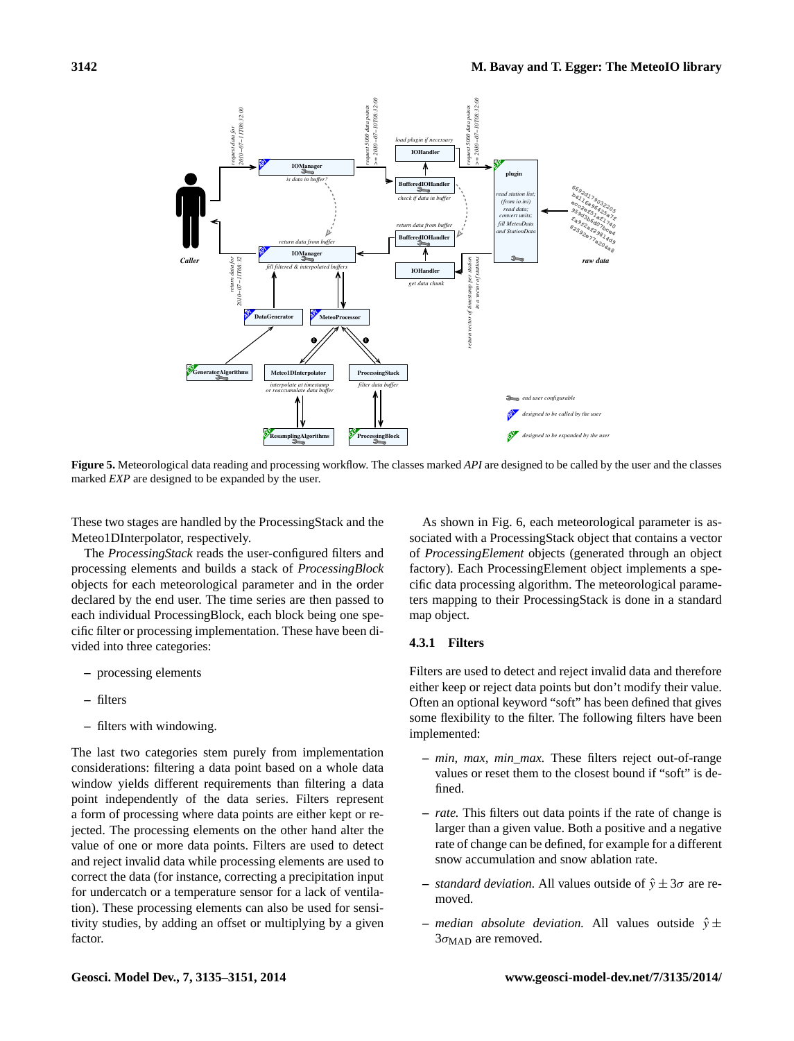<span id="page-7-0"></span>

**Figure 5.** Meteorological data reading and processing workflow. The classes marked *API* are designed to be called by the user and the classes marked *EXP* are designed to be expanded by the user.

These two stages are handled by the ProcessingStack and the Meteo1DInterpolator, respectively.

The *ProcessingStack* reads the user-configured filters and processing elements and builds a stack of *ProcessingBlock* objects for each meteorological parameter and in the order declared by the end user. The time series are then passed to each individual ProcessingBlock, each block being one specific filter or processing implementation. These have been divided into three categories:

- **–** processing elements
- **–** filters
- **–** filters with windowing.

The last two categories stem purely from implementation considerations: filtering a data point based on a whole data window yields different requirements than filtering a data point independently of the data series. Filters represent a form of processing where data points are either kept or rejected. The processing elements on the other hand alter the value of one or more data points. Filters are used to detect and reject invalid data while processing elements are used to correct the data (for instance, correcting a precipitation input for undercatch or a temperature sensor for a lack of ventilation). These processing elements can also be used for sensitivity studies, by adding an offset or multiplying by a given factor.

As shown in Fig. [6,](#page-8-0) each meteorological parameter is associated with a ProcessingStack object that contains a vector of *ProcessingElement* objects (generated through an object factory). Each ProcessingElement object implements a specific data processing algorithm. The meteorological parameters mapping to their ProcessingStack is done in a standard map object.

# **4.3.1 Filters**

Filters are used to detect and reject invalid data and therefore either keep or reject data points but don't modify their value. Often an optional keyword "soft" has been defined that gives some flexibility to the filter. The following filters have been implemented:

- **–** *min, max, min\_max.* These filters reject out-of-range values or reset them to the closest bound if "soft" is defined.
- **–** *rate.* This filters out data points if the rate of change is larger than a given value. Both a positive and a negative rate of change can be defined, for example for a different snow accumulation and snow ablation rate.
- **–** *standard deviation.* All values outside of  $\hat{y} \pm 3\sigma$  are removed.
- $–$  *median absolute deviation.* All values outside  $\hat{y} \pm$  $3\sigma_{\text{MAD}}$  are removed.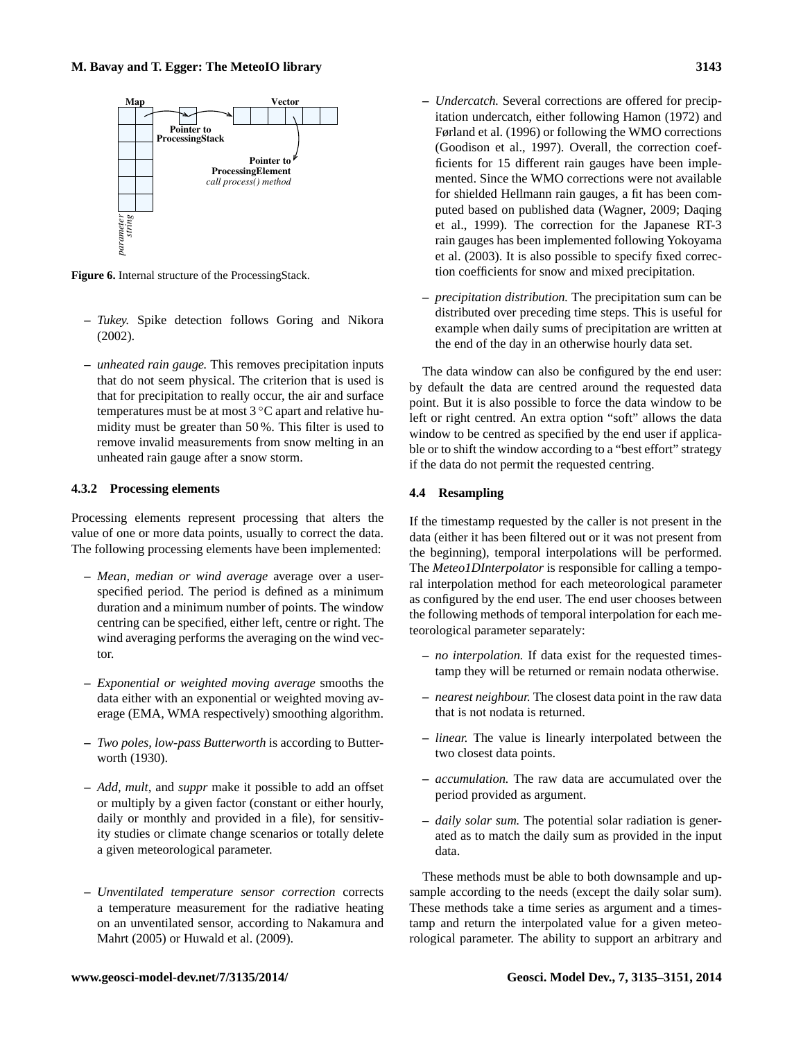<span id="page-8-0"></span>

**Figure 6.** Internal structure of the ProcessingStack.

- **–** *Tukey.* Spike detection follows [Goring and Nikora](#page-15-12) [\(2002\)](#page-15-12).
- **–** *unheated rain gauge.* This removes precipitation inputs that do not seem physical. The criterion that is used is that for precipitation to really occur, the air and surface temperatures must be at most 3 ◦C apart and relative humidity must be greater than 50 %. This filter is used to remove invalid measurements from snow melting in an unheated rain gauge after a snow storm.

# **4.3.2 Processing elements**

Processing elements represent processing that alters the value of one or more data points, usually to correct the data. The following processing elements have been implemented:

- **–** *Mean, median or wind average* average over a userspecified period. The period is defined as a minimum duration and a minimum number of points. The window centring can be specified, either left, centre or right. The wind averaging performs the averaging on the wind vector.
- **–** *Exponential or weighted moving average* smooths the data either with an exponential or weighted moving average (EMA, WMA respectively) smoothing algorithm.
- **–** *Two poles, low-pass Butterworth* is according to [Butter](#page-15-13)[worth](#page-15-13) [\(1930\)](#page-15-13).
- **–** *Add, mult*, and *suppr* make it possible to add an offset or multiply by a given factor (constant or either hourly, daily or monthly and provided in a file), for sensitivity studies or climate change scenarios or totally delete a given meteorological parameter.
- **–** *Unventilated temperature sensor correction* corrects a temperature measurement for the radiative heating on an unventilated sensor, according to [Nakamura and](#page-16-18) [Mahrt](#page-16-18) [\(2005\)](#page-16-18) or [Huwald et al.](#page-15-14) [\(2009\)](#page-15-14).
- **–** *Undercatch.* Several corrections are offered for precipitation undercatch, either following [Hamon](#page-15-15) [\(1972\)](#page-15-15) and [Førland et al.](#page-15-16) [\(1996\)](#page-15-16) or following the WMO corrections [\(Goodison et al.,](#page-15-17) [1997\)](#page-15-17). Overall, the correction coefficients for 15 different rain gauges have been implemented. Since the WMO corrections were not available for shielded Hellmann rain gauges, a fit has been computed based on published data [\(Wagner,](#page-16-19) [2009;](#page-16-19) [Daqing](#page-15-18) [et al.,](#page-15-18) [1999\)](#page-15-18). The correction for the Japanese RT-3 rain gauges has been implemented following [Yokoyama](#page-16-20) [et al.](#page-16-20) [\(2003\)](#page-16-20). It is also possible to specify fixed correction coefficients for snow and mixed precipitation.
- **–** *precipitation distribution.* The precipitation sum can be distributed over preceding time steps. This is useful for example when daily sums of precipitation are written at the end of the day in an otherwise hourly data set.

The data window can also be configured by the end user: by default the data are centred around the requested data point. But it is also possible to force the data window to be left or right centred. An extra option "soft" allows the data window to be centred as specified by the end user if applicable or to shift the window according to a "best effort" strategy if the data do not permit the requested centring.

# **4.4 Resampling**

If the timestamp requested by the caller is not present in the data (either it has been filtered out or it was not present from the beginning), temporal interpolations will be performed. The *Meteo1DInterpolator* is responsible for calling a temporal interpolation method for each meteorological parameter as configured by the end user. The end user chooses between the following methods of temporal interpolation for each meteorological parameter separately:

- **–** *no interpolation.* If data exist for the requested timestamp they will be returned or remain nodata otherwise.
- **–** *nearest neighbour.* The closest data point in the raw data that is not nodata is returned.
- **–** *linear.* The value is linearly interpolated between the two closest data points.
- **–** *accumulation.* The raw data are accumulated over the period provided as argument.
- **–** *daily solar sum.* The potential solar radiation is generated as to match the daily sum as provided in the input data.

These methods must be able to both downsample and upsample according to the needs (except the daily solar sum). These methods take a time series as argument and a timestamp and return the interpolated value for a given meteorological parameter. The ability to support an arbitrary and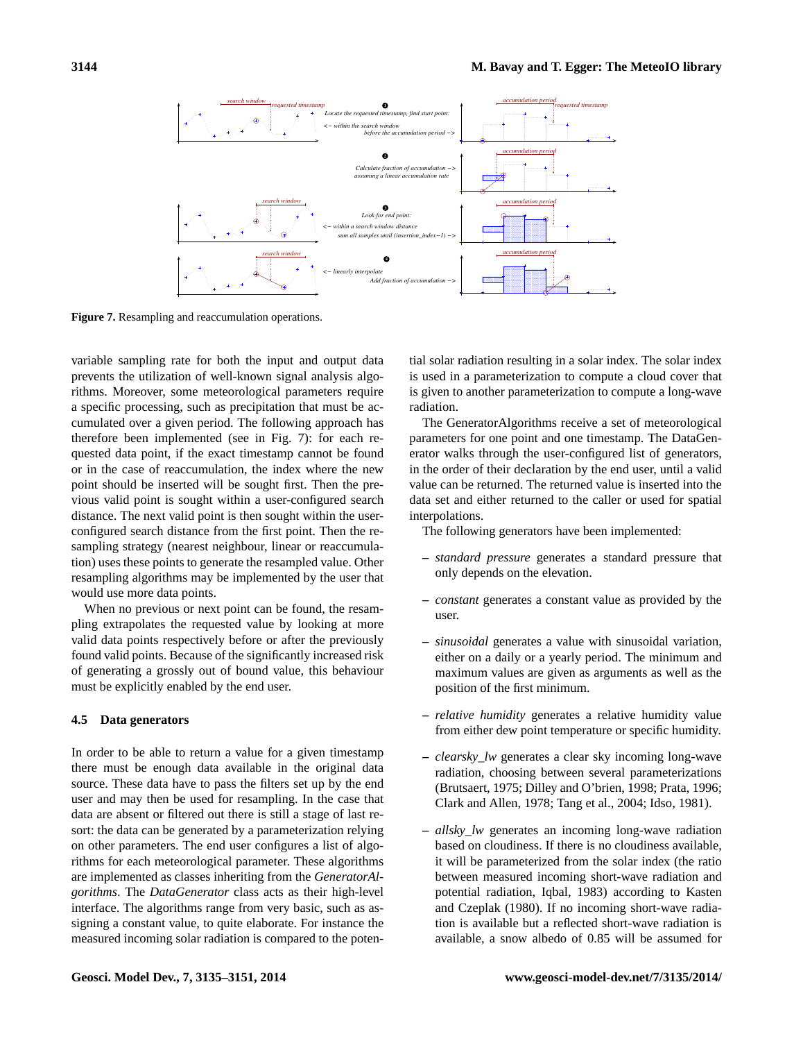<span id="page-9-0"></span>

**Figure 7.** Resampling and reaccumulation operations.

variable sampling rate for both the input and output data prevents the utilization of well-known signal analysis algorithms. Moreover, some meteorological parameters require a specific processing, such as precipitation that must be accumulated over a given period. The following approach has therefore been implemented (see in Fig. [7\)](#page-9-0): for each requested data point, if the exact timestamp cannot be found or in the case of reaccumulation, the index where the new point should be inserted will be sought first. Then the previous valid point is sought within a user-configured search distance. The next valid point is then sought within the userconfigured search distance from the first point. Then the resampling strategy (nearest neighbour, linear or reaccumulation) uses these points to generate the resampled value. Other resampling algorithms may be implemented by the user that would use more data points.

When no previous or next point can be found, the resampling extrapolates the requested value by looking at more valid data points respectively before or after the previously found valid points. Because of the significantly increased risk of generating a grossly out of bound value, this behaviour must be explicitly enabled by the end user.

#### **4.5 Data generators**

In order to be able to return a value for a given timestamp there must be enough data available in the original data source. These data have to pass the filters set up by the end user and may then be used for resampling. In the case that data are absent or filtered out there is still a stage of last resort: the data can be generated by a parameterization relying on other parameters. The end user configures a list of algorithms for each meteorological parameter. These algorithms are implemented as classes inheriting from the *GeneratorAlgorithms*. The *DataGenerator* class acts as their high-level interface. The algorithms range from very basic, such as assigning a constant value, to quite elaborate. For instance the measured incoming solar radiation is compared to the poten-

tial solar radiation resulting in a solar index. The solar index is used in a parameterization to compute a cloud cover that is given to another parameterization to compute a long-wave radiation.

The GeneratorAlgorithms receive a set of meteorological parameters for one point and one timestamp. The DataGenerator walks through the user-configured list of generators, in the order of their declaration by the end user, until a valid value can be returned. The returned value is inserted into the data set and either returned to the caller or used for spatial interpolations.

The following generators have been implemented:

- **–** *standard pressure* generates a standard pressure that only depends on the elevation.
- **–** *constant* generates a constant value as provided by the user.
- **–** *sinusoidal* generates a value with sinusoidal variation, either on a daily or a yearly period. The minimum and maximum values are given as arguments as well as the position of the first minimum.
- **–** *relative humidity* generates a relative humidity value from either dew point temperature or specific humidity.
- **–** *clearsky\_lw* generates a clear sky incoming long-wave radiation, choosing between several parameterizations [\(Brutsaert,](#page-15-19) [1975;](#page-15-19) [Dilley and O'brien,](#page-15-20) [1998;](#page-15-20) [Prata,](#page-16-21) [1996;](#page-16-21) [Clark and Allen,](#page-15-21) [1978;](#page-15-21) [Tang et al.,](#page-16-22) [2004;](#page-16-22) [Idso,](#page-15-22) [1981\)](#page-15-22).
- **–** *allsky\_lw* generates an incoming long-wave radiation based on cloudiness. If there is no cloudiness available, it will be parameterized from the solar index (the ratio between measured incoming short-wave radiation and potential radiation, [Iqbal,](#page-15-23) [1983\)](#page-15-23) according to [Kasten](#page-15-24) [and Czeplak](#page-15-24) [\(1980\)](#page-15-24). If no incoming short-wave radiation is available but a reflected short-wave radiation is available, a snow albedo of 0.85 will be assumed for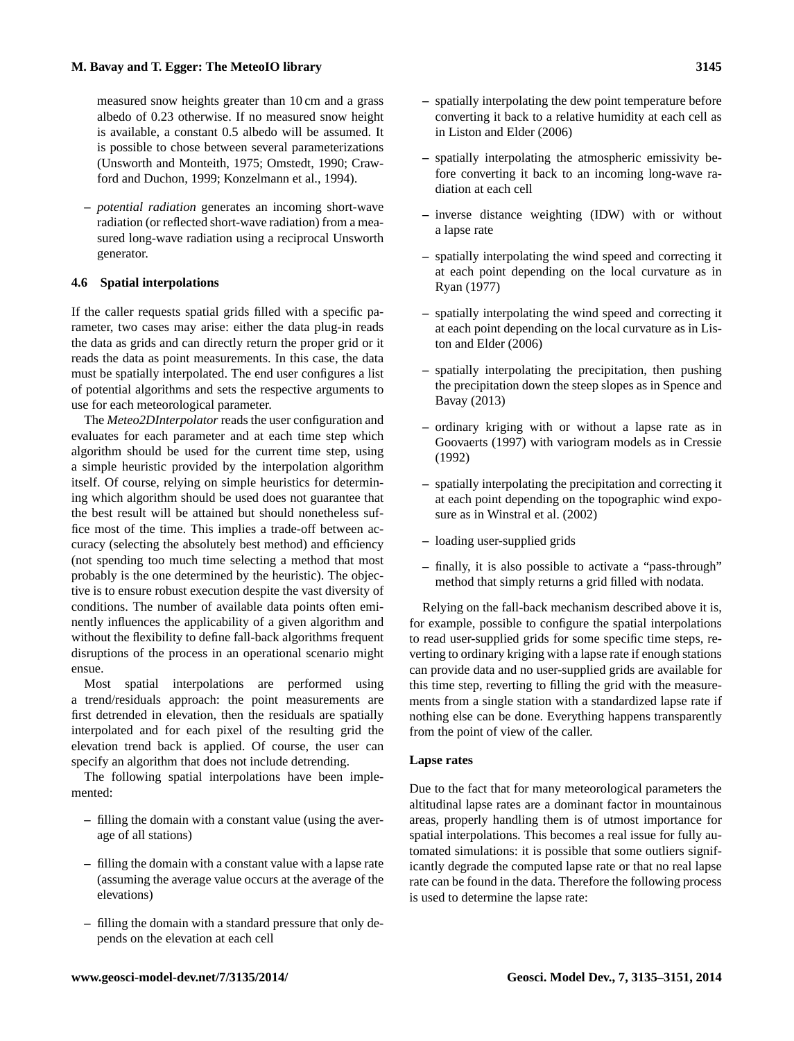measured snow heights greater than 10 cm and a grass albedo of 0.23 otherwise. If no measured snow height is available, a constant 0.5 albedo will be assumed. It is possible to chose between several parameterizations [\(Unsworth and Monteith,](#page-16-23) [1975;](#page-16-23) [Omstedt,](#page-16-24) [1990;](#page-16-24) [Craw](#page-15-25)[ford and Duchon,](#page-15-25) [1999;](#page-15-25) [Konzelmann et al.,](#page-15-26) [1994\)](#page-15-26).

**–** *potential radiation* generates an incoming short-wave radiation (or reflected short-wave radiation) from a measured long-wave radiation using a reciprocal Unsworth generator.

# **4.6 Spatial interpolations**

If the caller requests spatial grids filled with a specific parameter, two cases may arise: either the data plug-in reads the data as grids and can directly return the proper grid or it reads the data as point measurements. In this case, the data must be spatially interpolated. The end user configures a list of potential algorithms and sets the respective arguments to use for each meteorological parameter.

The *Meteo2DInterpolator* reads the user configuration and evaluates for each parameter and at each time step which algorithm should be used for the current time step, using a simple heuristic provided by the interpolation algorithm itself. Of course, relying on simple heuristics for determining which algorithm should be used does not guarantee that the best result will be attained but should nonetheless suffice most of the time. This implies a trade-off between accuracy (selecting the absolutely best method) and efficiency (not spending too much time selecting a method that most probably is the one determined by the heuristic). The objective is to ensure robust execution despite the vast diversity of conditions. The number of available data points often eminently influences the applicability of a given algorithm and without the flexibility to define fall-back algorithms frequent disruptions of the process in an operational scenario might ensue.

Most spatial interpolations are performed using a trend/residuals approach: the point measurements are first detrended in elevation, then the residuals are spatially interpolated and for each pixel of the resulting grid the elevation trend back is applied. Of course, the user can specify an algorithm that does not include detrending.

The following spatial interpolations have been implemented:

- **–** filling the domain with a constant value (using the average of all stations)
- **–** filling the domain with a constant value with a lapse rate (assuming the average value occurs at the average of the elevations)
- **–** filling the domain with a standard pressure that only depends on the elevation at each cell
- **–** spatially interpolating the dew point temperature before converting it back to a relative humidity at each cell as in [Liston and Elder](#page-16-2) [\(2006\)](#page-16-2)
- **–** spatially interpolating the atmospheric emissivity before converting it back to an incoming long-wave radiation at each cell
- **–** inverse distance weighting (IDW) with or without a lapse rate
- **–** spatially interpolating the wind speed and correcting it at each point depending on the local curvature as in [Ryan](#page-16-25) [\(1977\)](#page-16-25)
- **–** spatially interpolating the wind speed and correcting it at each point depending on the local curvature as in [Lis](#page-16-2)[ton and Elder](#page-16-2) [\(2006\)](#page-16-2)
- **–** spatially interpolating the precipitation, then pushing the precipitation down the steep slopes as in [Spence and](#page-16-26) [Bavay](#page-16-26) [\(2013\)](#page-16-26)
- **–** ordinary kriging with or without a lapse rate as in [Goovaerts](#page-15-27) [\(1997\)](#page-15-27) with variogram models as in [Cressie](#page-15-28) [\(1992\)](#page-15-28)
- **–** spatially interpolating the precipitation and correcting it at each point depending on the topographic wind exposure as in [Winstral et al.](#page-16-27) [\(2002\)](#page-16-27)
- **–** loading user-supplied grids
- **–** finally, it is also possible to activate a "pass-through" method that simply returns a grid filled with nodata.

Relying on the fall-back mechanism described above it is, for example, possible to configure the spatial interpolations to read user-supplied grids for some specific time steps, reverting to ordinary kriging with a lapse rate if enough stations can provide data and no user-supplied grids are available for this time step, reverting to filling the grid with the measurements from a single station with a standardized lapse rate if nothing else can be done. Everything happens transparently from the point of view of the caller.

#### **Lapse rates**

Due to the fact that for many meteorological parameters the altitudinal lapse rates are a dominant factor in mountainous areas, properly handling them is of utmost importance for spatial interpolations. This becomes a real issue for fully automated simulations: it is possible that some outliers significantly degrade the computed lapse rate or that no real lapse rate can be found in the data. Therefore the following process is used to determine the lapse rate: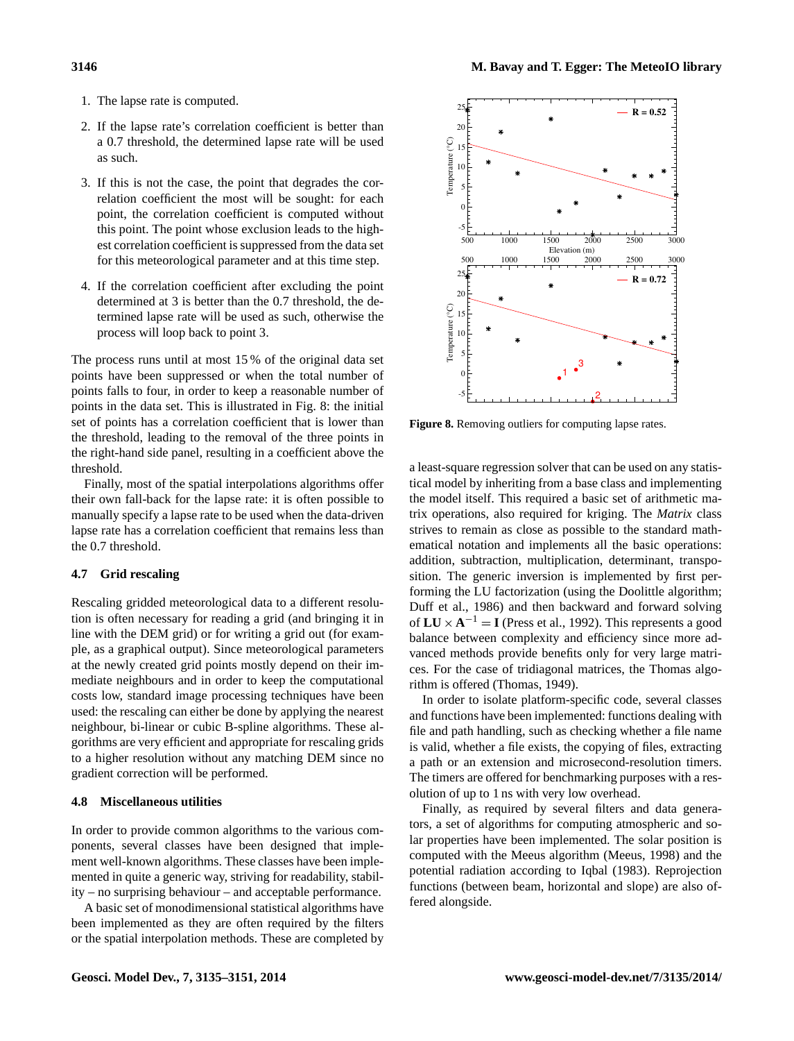- 1. The lapse rate is computed.
- 2. If the lapse rate's correlation coefficient is better than a 0.7 threshold, the determined lapse rate will be used as such.
- 3. If this is not the case, the point that degrades the correlation coefficient the most will be sought: for each point, the correlation coefficient is computed without this point. The point whose exclusion leads to the highest correlation coefficient is suppressed from the data set for this meteorological parameter and at this time step.
- 4. If the correlation coefficient after excluding the point determined at 3 is better than the 0.7 threshold, the determined lapse rate will be used as such, otherwise the process will loop back to point 3.

The process runs until at most 15 % of the original data set points have been suppressed or when the total number of points falls to four, in order to keep a reasonable number of points in the data set. This is illustrated in Fig. [8:](#page-11-0) the initial set of points has a correlation coefficient that is lower than the threshold, leading to the removal of the three points in the right-hand side panel, resulting in a coefficient above the threshold.

Finally, most of the spatial interpolations algorithms offer their own fall-back for the lapse rate: it is often possible to manually specify a lapse rate to be used when the data-driven lapse rate has a correlation coefficient that remains less than the 0.7 threshold.

# **4.7 Grid rescaling**

Rescaling gridded meteorological data to a different resolution is often necessary for reading a grid (and bringing it in line with the DEM grid) or for writing a grid out (for example, as a graphical output). Since meteorological parameters at the newly created grid points mostly depend on their immediate neighbours and in order to keep the computational costs low, standard image processing techniques have been used: the rescaling can either be done by applying the nearest neighbour, bi-linear or cubic B-spline algorithms. These algorithms are very efficient and appropriate for rescaling grids to a higher resolution without any matching DEM since no gradient correction will be performed.

#### **4.8 Miscellaneous utilities**

In order to provide common algorithms to the various components, several classes have been designed that implement well-known algorithms. These classes have been implemented in quite a generic way, striving for readability, stability – no surprising behaviour – and acceptable performance.

A basic set of monodimensional statistical algorithms have been implemented as they are often required by the filters or the spatial interpolation methods. These are completed by

<span id="page-11-0"></span>

Figure 8. Removing outliers for computing lapse rates.

a least-square regression solver that can be used on any statistical model by inheriting from a base class and implementing the model itself. This required a basic set of arithmetic matrix operations, also required for kriging. The *Matrix* class strives to remain as close as possible to the standard mathematical notation and implements all the basic operations: addition, subtraction, multiplication, determinant, transposition. The generic inversion is implemented by first performing the LU factorization (using the Doolittle algorithm; [Duff et al.,](#page-15-29) [1986\)](#page-15-29) and then backward and forward solving of  $LU \times A^{-1} = I$  [\(Press et al.,](#page-16-28) [1992\)](#page-16-28). This represents a good balance between complexity and efficiency since more advanced methods provide benefits only for very large matrices. For the case of tridiagonal matrices, the Thomas algorithm is offered [\(Thomas,](#page-16-29) [1949\)](#page-16-29).

In order to isolate platform-specific code, several classes and functions have been implemented: functions dealing with file and path handling, such as checking whether a file name is valid, whether a file exists, the copying of files, extracting a path or an extension and microsecond-resolution timers. The timers are offered for benchmarking purposes with a resolution of up to 1 ns with very low overhead.

Finally, as required by several filters and data generators, a set of algorithms for computing atmospheric and solar properties have been implemented. The solar position is computed with the Meeus algorithm [\(Meeus,](#page-16-30) [1998\)](#page-16-30) and the potential radiation according to [Iqbal](#page-15-23) [\(1983\)](#page-15-23). Reprojection functions (between beam, horizontal and slope) are also offered alongside.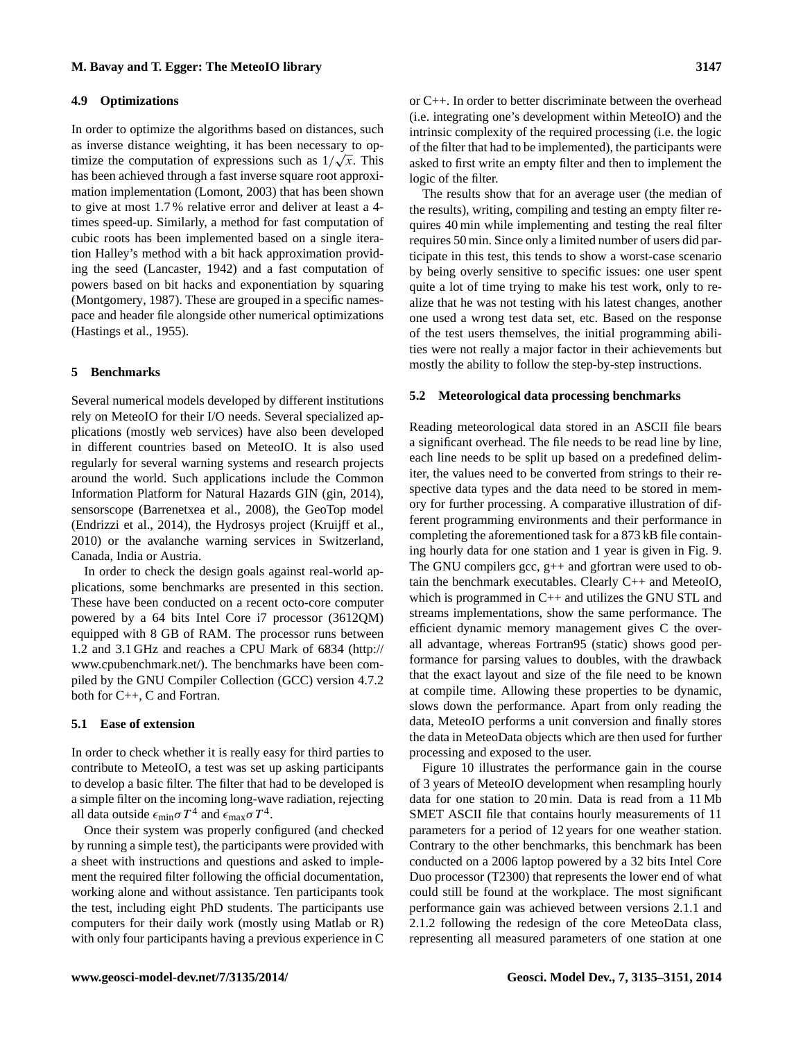#### **4.9 Optimizations**

In order to optimize the algorithms based on distances, such as inverse distance weighting, it has been necessary to optimize the computation of expressions such as  $1/\sqrt{x}$ . This has been achieved through a fast inverse square root approximation implementation [\(Lomont,](#page-16-31) [2003\)](#page-16-31) that has been shown to give at most 1.7 % relative error and deliver at least a 4 times speed-up. Similarly, a method for fast computation of cubic roots has been implemented based on a single iteration Halley's method with a bit hack approximation providing the seed [\(Lancaster,](#page-16-32) [1942\)](#page-16-32) and a fast computation of powers based on bit hacks and exponentiation by squaring [\(Montgomery,](#page-16-33) [1987\)](#page-16-33). These are grouped in a specific namespace and header file alongside other numerical optimizations [\(Hastings et al.,](#page-15-30) [1955\)](#page-15-30).

#### **5 Benchmarks**

Several numerical models developed by different institutions rely on MeteoIO for their I/O needs. Several specialized applications (mostly web services) have also been developed in different countries based on MeteoIO. It is also used regularly for several warning systems and research projects around the world. Such applications include the Common Information Platform for Natural Hazards GIN [\(gin,](#page-15-31) [2014\)](#page-15-31), sensorscope [\(Barrenetxea et al.,](#page-15-32) [2008\)](#page-15-32), the GeoTop model [\(Endrizzi et al.,](#page-15-33) [2014\)](#page-15-33), the Hydrosys project [\(Kruijff et al.,](#page-16-34) [2010\)](#page-16-34) or the avalanche warning services in Switzerland, Canada, India or Austria.

In order to check the design goals against real-world applications, some benchmarks are presented in this section. These have been conducted on a recent octo-core computer powered by a 64 bits Intel Core i7 processor (3612QM) equipped with 8 GB of RAM. The processor runs between 1.2 and 3.1 GHz and reaches a CPU Mark of 6834 [\(http://](http://www.cpubenchmark.net/) [www.cpubenchmark.net/\)](http://www.cpubenchmark.net/). The benchmarks have been compiled by the GNU Compiler Collection (GCC) version 4.7.2 both for C++, C and Fortran.

## **5.1 Ease of extension**

In order to check whether it is really easy for third parties to contribute to MeteoIO, a test was set up asking participants to develop a basic filter. The filter that had to be developed is a simple filter on the incoming long-wave radiation, rejecting all data outside  $\epsilon_{\min} \sigma T^4$  and  $\epsilon_{\max} \sigma T^4$ .

Once their system was properly configured (and checked by running a simple test), the participants were provided with a sheet with instructions and questions and asked to implement the required filter following the official documentation, working alone and without assistance. Ten participants took the test, including eight PhD students. The participants use computers for their daily work (mostly using Matlab or R) with only four participants having a previous experience in C or C++. In order to better discriminate between the overhead (i.e. integrating one's development within MeteoIO) and the intrinsic complexity of the required processing (i.e. the logic of the filter that had to be implemented), the participants were asked to first write an empty filter and then to implement the logic of the filter.

The results show that for an average user (the median of the results), writing, compiling and testing an empty filter requires 40 min while implementing and testing the real filter requires 50 min. Since only a limited number of users did participate in this test, this tends to show a worst-case scenario by being overly sensitive to specific issues: one user spent quite a lot of time trying to make his test work, only to realize that he was not testing with his latest changes, another one used a wrong test data set, etc. Based on the response of the test users themselves, the initial programming abilities were not really a major factor in their achievements but mostly the ability to follow the step-by-step instructions.

#### <span id="page-12-0"></span>**5.2 Meteorological data processing benchmarks**

Reading meteorological data stored in an ASCII file bears a significant overhead. The file needs to be read line by line, each line needs to be split up based on a predefined delimiter, the values need to be converted from strings to their respective data types and the data need to be stored in memory for further processing. A comparative illustration of different programming environments and their performance in completing the aforementioned task for a 873 kB file containing hourly data for one station and 1 year is given in Fig. [9.](#page-13-0) The GNU compilers  $\gcd g$ <sub>++</sub> and gfortran were used to obtain the benchmark executables. Clearly C++ and MeteoIO, which is programmed in  $C_{++}$  and utilizes the GNU STL and streams implementations, show the same performance. The efficient dynamic memory management gives C the overall advantage, whereas Fortran95 (static) shows good performance for parsing values to doubles, with the drawback that the exact layout and size of the file need to be known at compile time. Allowing these properties to be dynamic, slows down the performance. Apart from only reading the data, MeteoIO performs a unit conversion and finally stores the data in MeteoData objects which are then used for further processing and exposed to the user.

Figure [10](#page-13-1) illustrates the performance gain in the course of 3 years of MeteoIO development when resampling hourly data for one station to 20 min. Data is read from a 11 Mb SMET ASCII file that contains hourly measurements of 11 parameters for a period of 12 years for one weather station. Contrary to the other benchmarks, this benchmark has been conducted on a 2006 laptop powered by a 32 bits Intel Core Duo processor (T2300) that represents the lower end of what could still be found at the workplace. The most significant performance gain was achieved between versions 2.1.1 and 2.1.2 following the redesign of the core MeteoData class, representing all measured parameters of one station at one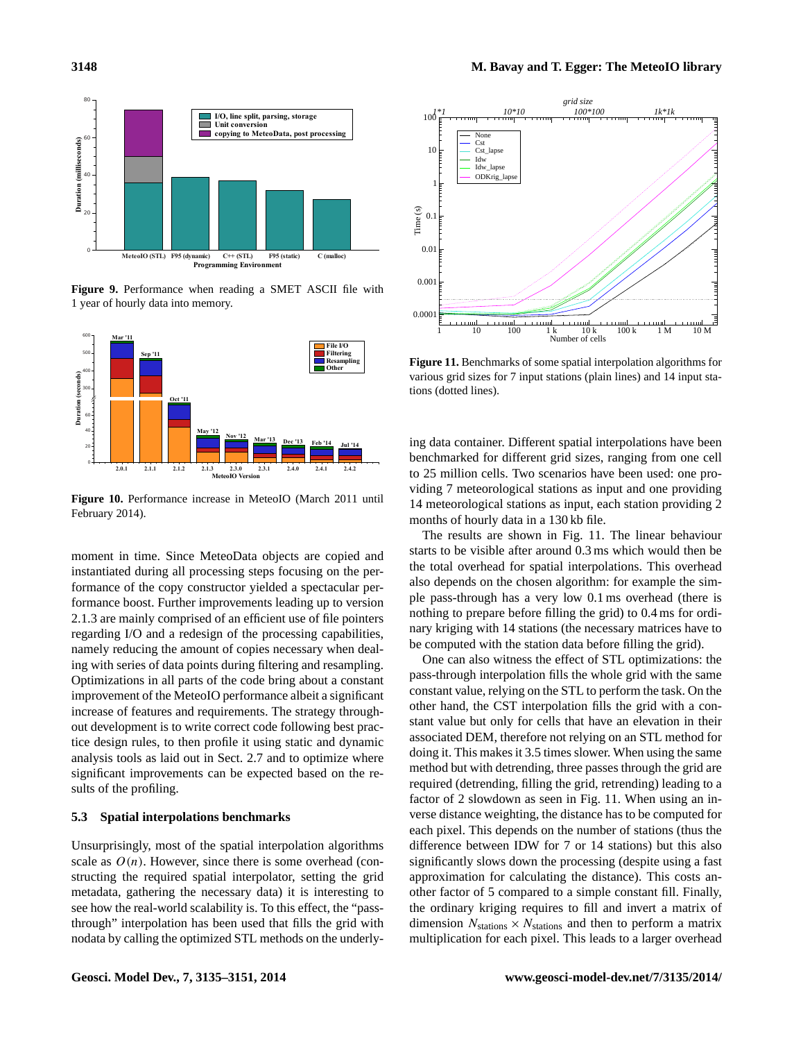<span id="page-13-0"></span>

**Figure 9.** Performance when reading a SMET ASCII file with 1 year of hourly data into memory.

<span id="page-13-1"></span>

**Figure 10.** Performance increase in MeteoIO (March 2011 until February 2014).

moment in time. Since MeteoData objects are copied and instantiated during all processing steps focusing on the performance of the copy constructor yielded a spectacular performance boost. Further improvements leading up to version 2.1.3 are mainly comprised of an efficient use of file pointers regarding I/O and a redesign of the processing capabilities, namely reducing the amount of copies necessary when dealing with series of data points during filtering and resampling. Optimizations in all parts of the code bring about a constant improvement of the MeteoIO performance albeit a significant increase of features and requirements. The strategy throughout development is to write correct code following best practice design rules, to then profile it using static and dynamic analysis tools as laid out in Sect. [2.7](#page-3-1) and to optimize where significant improvements can be expected based on the results of the profiling.

# **5.3 Spatial interpolations benchmarks**

Unsurprisingly, most of the spatial interpolation algorithms scale as  $O(n)$ . However, since there is some overhead (constructing the required spatial interpolator, setting the grid metadata, gathering the necessary data) it is interesting to see how the real-world scalability is. To this effect, the "passthrough" interpolation has been used that fills the grid with nodata by calling the optimized STL methods on the underly-

<span id="page-13-2"></span>

**Figure 11.** Benchmarks of some spatial interpolation algorithms for various grid sizes for 7 input stations (plain lines) and 14 input stations (dotted lines).

ing data container. Different spatial interpolations have been benchmarked for different grid sizes, ranging from one cell to 25 million cells. Two scenarios have been used: one providing 7 meteorological stations as input and one providing 14 meteorological stations as input, each station providing 2 months of hourly data in a 130 kb file.

The results are shown in Fig. [11.](#page-13-2) The linear behaviour starts to be visible after around 0.3 ms which would then be the total overhead for spatial interpolations. This overhead also depends on the chosen algorithm: for example the simple pass-through has a very low 0.1 ms overhead (there is nothing to prepare before filling the grid) to 0.4 ms for ordinary kriging with 14 stations (the necessary matrices have to be computed with the station data before filling the grid).

One can also witness the effect of STL optimizations: the pass-through interpolation fills the whole grid with the same constant value, relying on the STL to perform the task. On the other hand, the CST interpolation fills the grid with a constant value but only for cells that have an elevation in their associated DEM, therefore not relying on an STL method for doing it. This makes it 3.5 times slower. When using the same method but with detrending, three passes through the grid are required (detrending, filling the grid, retrending) leading to a factor of 2 slowdown as seen in Fig. [11.](#page-13-2) When using an inverse distance weighting, the distance has to be computed for each pixel. This depends on the number of stations (thus the difference between IDW for 7 or 14 stations) but this also significantly slows down the processing (despite using a fast approximation for calculating the distance). This costs another factor of 5 compared to a simple constant fill. Finally, the ordinary kriging requires to fill and invert a matrix of dimension  $N_{\text{stations}} \times N_{\text{stations}}$  and then to perform a matrix multiplication for each pixel. This leads to a larger overhead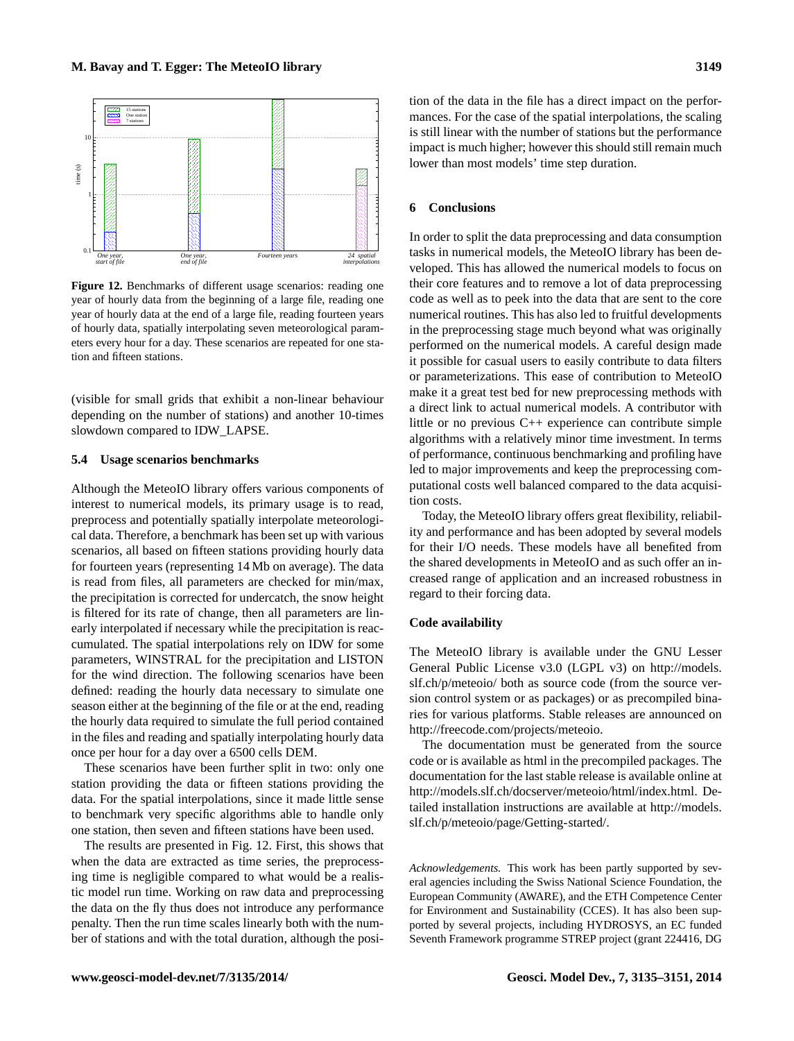<span id="page-14-0"></span>

Figure 12. Benchmarks of different usage scenarios: reading one year of hourly data from the beginning of a large file, reading one year of hourly data at the end of a large file, reading fourteen years of hourly data, spatially interpolating seven meteorological parameters every hour for a day. These scenarios are repeated for one station and fifteen stations.

(visible for small grids that exhibit a non-linear behaviour depending on the number of stations) and another 10-times slowdown compared to IDW\_LAPSE.

## **5.4 Usage scenarios benchmarks**

Although the MeteoIO library offers various components of interest to numerical models, its primary usage is to read, preprocess and potentially spatially interpolate meteorological data. Therefore, a benchmark has been set up with various scenarios, all based on fifteen stations providing hourly data for fourteen years (representing 14 Mb on average). The data is read from files, all parameters are checked for min/max, the precipitation is corrected for undercatch, the snow height is filtered for its rate of change, then all parameters are linearly interpolated if necessary while the precipitation is reaccumulated. The spatial interpolations rely on IDW for some parameters, WINSTRAL for the precipitation and LISTON for the wind direction. The following scenarios have been defined: reading the hourly data necessary to simulate one season either at the beginning of the file or at the end, reading the hourly data required to simulate the full period contained in the files and reading and spatially interpolating hourly data once per hour for a day over a 6500 cells DEM.

These scenarios have been further split in two: only one station providing the data or fifteen stations providing the data. For the spatial interpolations, since it made little sense to benchmark very specific algorithms able to handle only one station, then seven and fifteen stations have been used.

The results are presented in Fig. [12.](#page-14-0) First, this shows that when the data are extracted as time series, the preprocessing time is negligible compared to what would be a realistic model run time. Working on raw data and preprocessing the data on the fly thus does not introduce any performance penalty. Then the run time scales linearly both with the number of stations and with the total duration, although the position of the data in the file has a direct impact on the performances. For the case of the spatial interpolations, the scaling is still linear with the number of stations but the performance impact is much higher; however this should still remain much lower than most models' time step duration.

#### **6 Conclusions**

In order to split the data preprocessing and data consumption tasks in numerical models, the MeteoIO library has been developed. This has allowed the numerical models to focus on their core features and to remove a lot of data preprocessing code as well as to peek into the data that are sent to the core numerical routines. This has also led to fruitful developments in the preprocessing stage much beyond what was originally performed on the numerical models. A careful design made it possible for casual users to easily contribute to data filters or parameterizations. This ease of contribution to MeteoIO make it a great test bed for new preprocessing methods with a direct link to actual numerical models. A contributor with little or no previous C++ experience can contribute simple algorithms with a relatively minor time investment. In terms of performance, continuous benchmarking and profiling have led to major improvements and keep the preprocessing computational costs well balanced compared to the data acquisition costs.

Today, the MeteoIO library offers great flexibility, reliability and performance and has been adopted by several models for their I/O needs. These models have all benefited from the shared developments in MeteoIO and as such offer an increased range of application and an increased robustness in regard to their forcing data.

# **Code availability**

The MeteoIO library is available under the GNU Lesser General Public License v3.0 (LGPL v3) on [http://models.](http://models.slf.ch/p/meteoio/) [slf.ch/p/meteoio/](http://models.slf.ch/p/meteoio/) both as source code (from the source version control system or as packages) or as precompiled binaries for various platforms. Stable releases are announced on [http://freecode.com/projects/meteoio.](http://freecode.com/projects/meteoio)

The documentation must be generated from the source code or is available as html in the precompiled packages. The documentation for the last stable release is available online at [http://models.slf.ch/docserver/meteoio/html/index.html.](http://models.slf.ch/docserver/meteoio/html/index.html) Detailed installation instructions are available at [http://models.](http://models.slf.ch/p/meteoio/page/Getting-started/) [slf.ch/p/meteoio/page/Getting-started/.](http://models.slf.ch/p/meteoio/page/Getting-started/)

*Acknowledgements.* This work has been partly supported by several agencies including the Swiss National Science Foundation, the European Community (AWARE), and the ETH Competence Center for Environment and Sustainability (CCES). It has also been supported by several projects, including HYDROSYS, an EC funded Seventh Framework programme STREP project (grant 224416, DG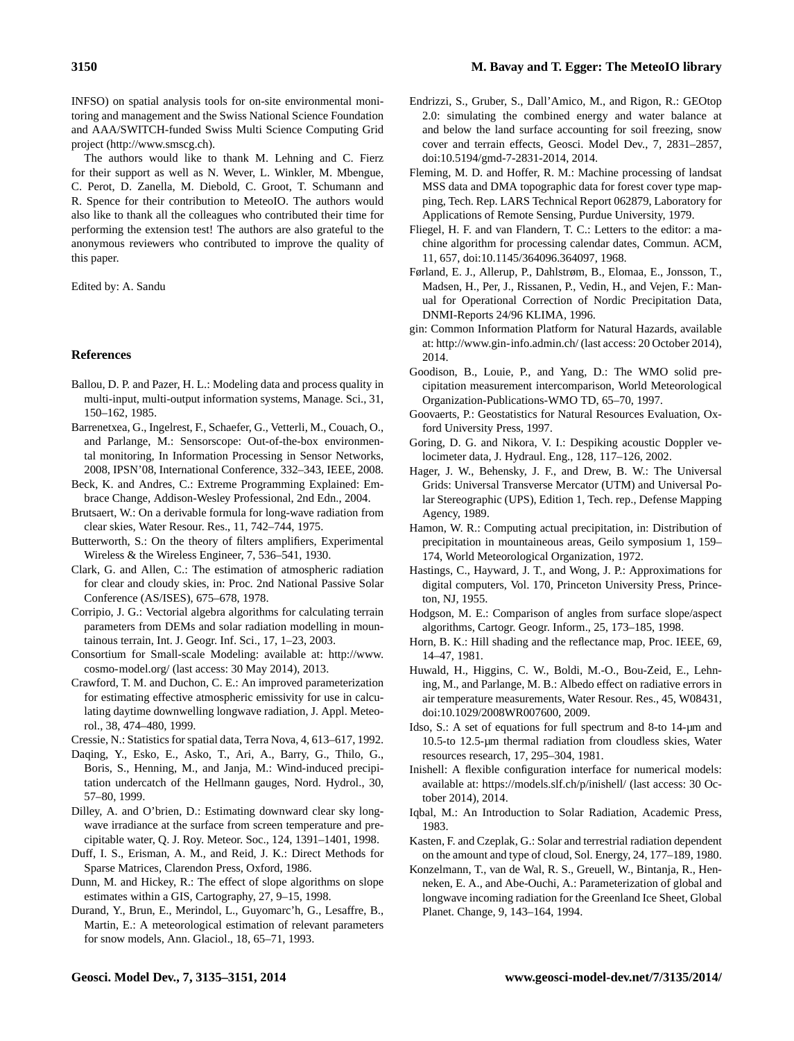INFSO) on spatial analysis tools for on-site environmental monitoring and management and the Swiss National Science Foundation and AAA/SWITCH-funded Swiss Multi Science Computing Grid project [\(http://www.smscg.ch\)](http://www.smscg.ch).

The authors would like to thank M. Lehning and C. Fierz for their support as well as N. Wever, L. Winkler, M. Mbengue, C. Perot, D. Zanella, M. Diebold, C. Groot, T. Schumann and R. Spence for their contribution to MeteoIO. The authors would also like to thank all the colleagues who contributed their time for performing the extension test! The authors are also grateful to the anonymous reviewers who contributed to improve the quality of this paper.

Edited by: A. Sandu

#### **References**

- <span id="page-15-1"></span>Ballou, D. P. and Pazer, H. L.: Modeling data and process quality in multi-input, multi-output information systems, Manage. Sci., 31, 150–162, 1985.
- <span id="page-15-32"></span>Barrenetxea, G., Ingelrest, F., Schaefer, G., Vetterli, M., Couach, O., and Parlange, M.: Sensorscope: Out-of-the-box environmental monitoring, In Information Processing in Sensor Networks, 2008, IPSN'08, International Conference, 332–343, IEEE, 2008.
- <span id="page-15-3"></span>Beck, K. and Andres, C.: Extreme Programming Explained: Embrace Change, Addison-Wesley Professional, 2nd Edn., 2004.
- <span id="page-15-19"></span>Brutsaert, W.: On a derivable formula for long-wave radiation from clear skies, Water Resour. Res., 11, 742–744, 1975.
- <span id="page-15-13"></span>Butterworth, S.: On the theory of filters amplifiers, Experimental Wireless & the Wireless Engineer, 7, 536–541, 1930.
- <span id="page-15-21"></span>Clark, G. and Allen, C.: The estimation of atmospheric radiation for clear and cloudy skies, in: Proc. 2nd National Passive Solar Conference (AS/ISES), 675–678, 1978.
- <span id="page-15-8"></span>Corripio, J. G.: Vectorial algebra algorithms for calculating terrain parameters from DEMs and solar radiation modelling in mountainous terrain, Int. J. Geogr. Inf. Sci., 17, 1–23, 2003.
- <span id="page-15-11"></span>Consortium for Small-scale Modeling: available at: [http://www.](http://www.cosmo-model.org/) [cosmo-model.org/](http://www.cosmo-model.org/) (last access: 30 May 2014), 2013.
- <span id="page-15-25"></span>Crawford, T. M. and Duchon, C. E.: An improved parameterization for estimating effective atmospheric emissivity for use in calculating daytime downwelling longwave radiation, J. Appl. Meteorol., 38, 474–480, 1999.
- <span id="page-15-28"></span>Cressie, N.: Statistics for spatial data, Terra Nova, 4, 613–617, 1992.
- <span id="page-15-18"></span>Daqing, Y., Esko, E., Asko, T., Ari, A., Barry, G., Thilo, G., Boris, S., Henning, M., and Janja, M.: Wind-induced precipitation undercatch of the Hellmann gauges, Nord. Hydrol., 30, 57–80, 1999.
- <span id="page-15-20"></span>Dilley, A. and O'brien, D.: Estimating downward clear sky longwave irradiance at the surface from screen temperature and precipitable water, Q. J. Roy. Meteor. Soc., 124, 1391–1401, 1998.
- <span id="page-15-29"></span>Duff, I. S., Erisman, A. M., and Reid, J. K.: Direct Methods for Sparse Matrices, Clarendon Press, Oxford, 1986.
- <span id="page-15-6"></span>Dunn, M. and Hickey, R.: The effect of slope algorithms on slope estimates within a GIS, Cartography, 27, 9–15, 1998.
- <span id="page-15-0"></span>Durand, Y., Brun, E., Merindol, L., Guyomarc'h, G., Lesaffre, B., Martin, E.: A meteorological estimation of relevant parameters for snow models, Ann. Glaciol., 18, 65–71, 1993.
- <span id="page-15-33"></span>Endrizzi, S., Gruber, S., Dall'Amico, M., and Rigon, R.: GEOtop 2.0: simulating the combined energy and water balance at and below the land surface accounting for soil freezing, snow cover and terrain effects, Geosci. Model Dev., 7, 2831–2857, doi[:10.5194/gmd-7-2831-2014,](http://dx.doi.org/10.5194/gmd-7-2831-2014) 2014.
- <span id="page-15-7"></span>Fleming, M. D. and Hoffer, R. M.: Machine processing of landsat MSS data and DMA topographic data for forest cover type mapping, Tech. Rep. LARS Technical Report 062879, Laboratory for Applications of Remote Sensing, Purdue University, 1979.
- <span id="page-15-4"></span>Fliegel, H. F. and van Flandern, T. C.: Letters to the editor: a machine algorithm for processing calendar dates, Commun. ACM, 11, 657, doi[:10.1145/364096.364097,](http://dx.doi.org/10.1145/364096.364097) 1968.
- <span id="page-15-16"></span>Førland, E. J., Allerup, P., Dahlstrøm, B., Elomaa, E., Jonsson, T., Madsen, H., Per, J., Rissanen, P., Vedin, H., and Vejen, F.: Manual for Operational Correction of Nordic Precipitation Data, DNMI-Reports 24/96 KLIMA, 1996.
- <span id="page-15-31"></span>gin: Common Information Platform for Natural Hazards, available at: <http://www.gin-info.admin.ch/> (last access: 20 October 2014), 2014.
- <span id="page-15-17"></span>Goodison, B., Louie, P., and Yang, D.: The WMO solid precipitation measurement intercomparison, World Meteorological Organization-Publications-WMO TD, 65–70, 1997.
- <span id="page-15-27"></span>Goovaerts, P.: Geostatistics for Natural Resources Evaluation, Oxford University Press, 1997.
- <span id="page-15-12"></span>Goring, D. G. and Nikora, V. I.: Despiking acoustic Doppler velocimeter data, J. Hydraul. Eng., 128, 117–126, 2002.
- <span id="page-15-5"></span>Hager, J. W., Behensky, J. F., and Drew, B. W.: The Universal Grids: Universal Transverse Mercator (UTM) and Universal Polar Stereographic (UPS), Edition 1, Tech. rep., Defense Mapping Agency, 1989.
- <span id="page-15-15"></span>Hamon, W. R.: Computing actual precipitation, in: Distribution of precipitation in mountaineous areas, Geilo symposium 1, 159– 174, World Meteorological Organization, 1972.
- <span id="page-15-30"></span>Hastings, C., Hayward, J. T., and Wong, J. P.: Approximations for digital computers, Vol. 170, Princeton University Press, Princeton, NJ, 1955.
- <span id="page-15-10"></span>Hodgson, M. E.: Comparison of angles from surface slope/aspect algorithms, Cartogr. Geogr. Inform., 25, 173–185, 1998.
- <span id="page-15-9"></span>Horn, B. K.: Hill shading and the reflectance map, Proc. IEEE, 69, 14–47, 1981.
- <span id="page-15-14"></span>Huwald, H., Higgins, C. W., Boldi, M.-O., Bou-Zeid, E., Lehning, M., and Parlange, M. B.: Albedo effect on radiative errors in air temperature measurements, Water Resour. Res., 45, W08431, doi[:10.1029/2008WR007600,](http://dx.doi.org/10.1029/2008WR007600) 2009.
- <span id="page-15-22"></span>Idso, S.: A set of equations for full spectrum and 8-to 14-µm and 10.5-to 12.5-µm thermal radiation from cloudless skies, Water resources research, 17, 295–304, 1981.
- <span id="page-15-2"></span>Inishell: A flexible configuration interface for numerical models: available at: <https://models.slf.ch/p/inishell/> (last access: 30 October 2014), 2014.
- <span id="page-15-23"></span>Iqbal, M.: An Introduction to Solar Radiation, Academic Press, 1983.
- <span id="page-15-24"></span>Kasten, F. and Czeplak, G.: Solar and terrestrial radiation dependent on the amount and type of cloud, Sol. Energy, 24, 177–189, 1980.
- <span id="page-15-26"></span>Konzelmann, T., van de Wal, R. S., Greuell, W., Bintanja, R., Henneken, E. A., and Abe-Ouchi, A.: Parameterization of global and longwave incoming radiation for the Greenland Ice Sheet, Global Planet. Change, 9, 143–164, 1994.